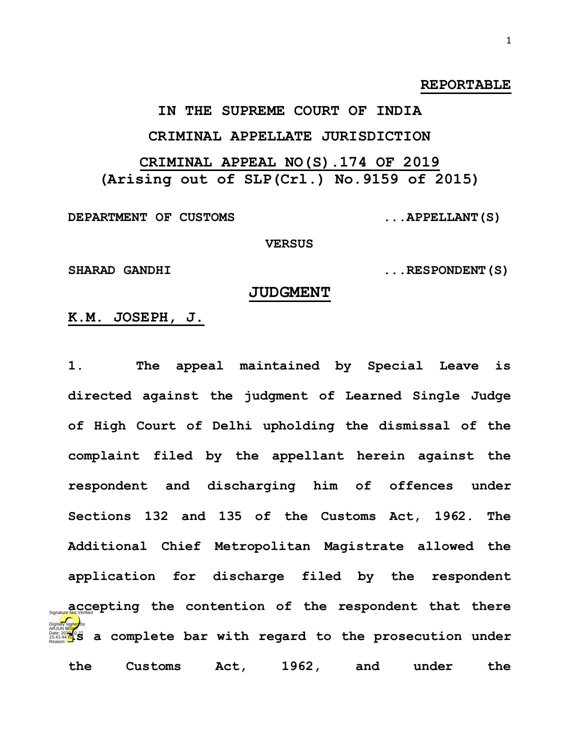### **REPORTABLE**

# **IN THE SUPREME COURT OF INDIA CRIMINAL APPELLATE JURISDICTION**

# **CRIMINAL APPEAL NO(S).174 OF 2019 (Arising out of SLP(Crl.) No.9159 of 2015)**

**DEPARTMENT OF CUSTOMS ...APPELLANT(S)**

#### **VERSUS**

SHARAD GANDHI  $\ldots$ RESPONDENT(S)

#### **JUDGMENT**

### **K.M. JOSEPH, J.**

**1. The appeal maintained by Special Leave is directed against the judgment of Learned Single Judge of High Court of Delhi upholding the dismissal of the complaint filed by the appellant herein against the respondent and discharging him of offences under Sections 132 and 135 of the Customs Act, 1962. The Additional Chief Metropolitan Magistrate allowed the application for discharge filed by the respondent accepting the contention of the respondent that there Is a complete bar with regard to the prosecution under all complete bar with regard to the prosecution under the Customs Act, 1962, and under the**  Digitally signed by Reason: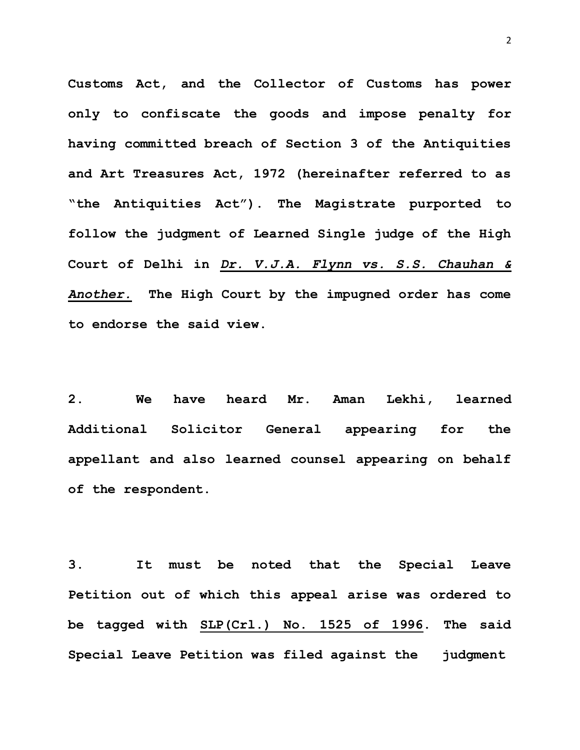**Customs Act, and the Collector of Customs has power only to confiscate the goods and impose penalty for having committed breach of Section 3 of the Antiquities and Art Treasures Act, 1972 (hereinafter referred to as "the Antiquities Act"). The Magistrate purported to follow the judgment of Learned Single judge of the High Court of Delhi in** *Dr. V.J.A. Flynn vs. S.S. Chauhan & Another.* **The High Court by the impugned order has come to endorse the said view.** 

**2. We have heard Mr. Aman Lekhi, learned Additional Solicitor General appearing for the appellant and also learned counsel appearing on behalf of the respondent.** 

**3. It must be noted that the Special Leave Petition out of which this appeal arise was ordered to be tagged with SLP(Crl.) No. 1525 of 1996. The said Special Leave Petition was filed against the judgment**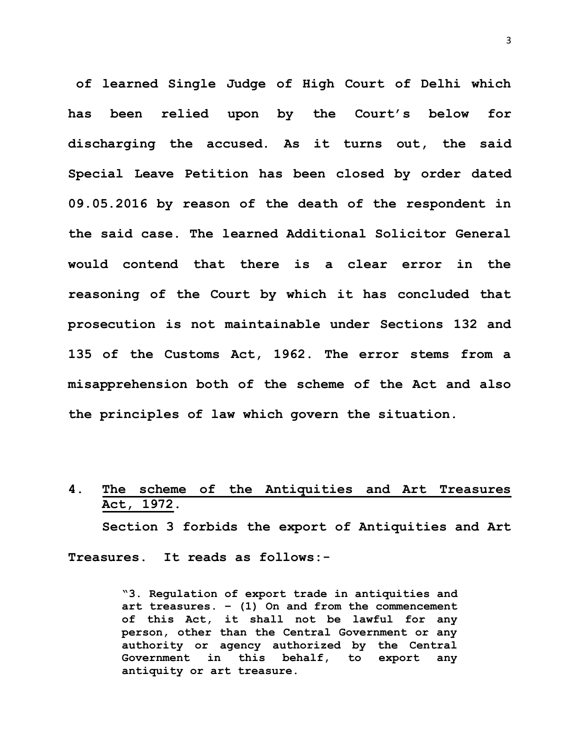**of learned Single Judge of High Court of Delhi which has been relied upon by the Court's below for discharging the accused. As it turns out, the said Special Leave Petition has been closed by order dated 09.05.2016 by reason of the death of the respondent in the said case. The learned Additional Solicitor General would contend that there is a clear error in the reasoning of the Court by which it has concluded that prosecution is not maintainable under Sections 132 and 135 of the Customs Act, 1962. The error stems from a misapprehension both of the scheme of the Act and also the principles of law which govern the situation.**

## **4. The scheme of the Antiquities and Art Treasures Act, 1972.**

**Section 3 forbids the export of Antiquities and Art Treasures. It reads as follows:-**

> **"3. Regulation of export trade in antiquities and art treasures. – (1) On and from the commencement of this Act, it shall not be lawful for any person, other than the Central Government or any authority or agency authorized by the Central Government in this behalf, to export any antiquity or art treasure.**

3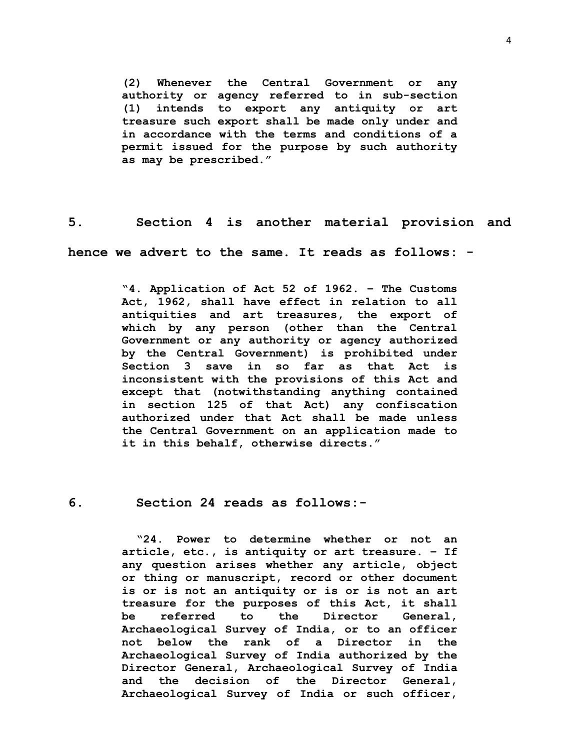**(2) Whenever the Central Government or any authority or agency referred to in sub-section (1) intends to export any antiquity or art treasure such export shall be made only under and in accordance with the terms and conditions of a permit issued for the purpose by such authority as may be prescribed."**

**5. Section 4 is another material provision and** 

**hence we advert to the same. It reads as follows: -**

**"4. Application of Act 52 of 1962. – The Customs Act, 1962, shall have effect in relation to all antiquities and art treasures, the export of which by any person (other than the Central Government or any authority or agency authorized by the Central Government) is prohibited under Section 3 save in so far as that Act is inconsistent with the provisions of this Act and except that (notwithstanding anything contained in section 125 of that Act) any confiscation authorized under that Act shall be made unless the Central Government on an application made to it in this behalf, otherwise directs."**

**6. Section 24 reads as follows:-**

**"24. Power to determine whether or not an article, etc., is antiquity or art treasure. – If any question arises whether any article, object or thing or manuscript, record or other document is or is not an antiquity or is or is not an art treasure for the purposes of this Act, it shall be referred to the Director General, Archaeological Survey of India, or to an officer not below the rank of a Director in the Archaeological Survey of India authorized by the Director General, Archaeological Survey of India and the decision of the Director General, Archaeological Survey of India or such officer,**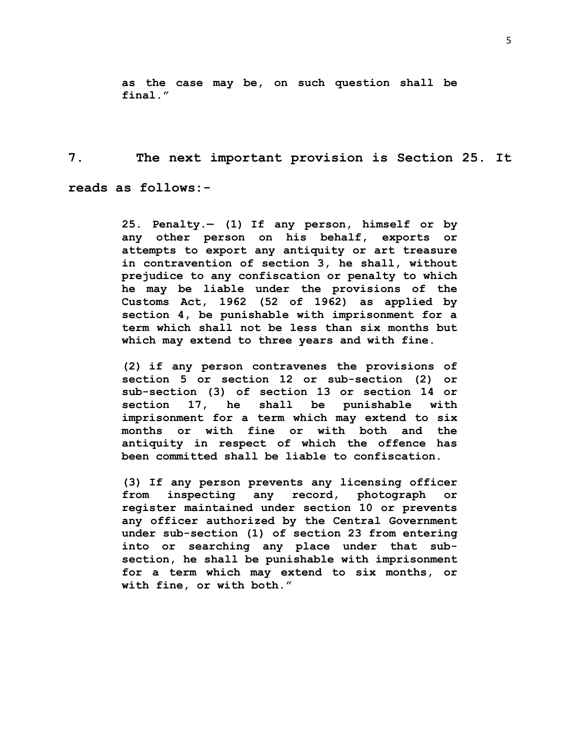**as the case may be, on such question shall be final."**

**7. The next important provision is Section 25. It reads as follows:-**

> **25. Penalty.— [\(1\)](https://indiankanoon.org/doc/670067/) If any person, himself or by any other person on his behalf, exports or attempts to export any antiquity or art treasure in contravention of section 3, he shall, without prejudice to any confiscation or penalty to which he may be liable under the provisions of the Customs Act, 1962 (52 of 1962) as applied by section 4, be punishable with imprisonment for a term which shall not be less than six months but which may extend to three years and with fine.**

> **[\(2\)](https://indiankanoon.org/doc/49401/) if any person contravenes the provisions of section 5 or section 12 or sub-section (2) or sub-section (3) of section 13 or section 14 or section 17, he shall be punishable with imprisonment for a term which may extend to six months or with fine or with both and the antiquity in respect of which the offence has been committed shall be liable to confiscation.**

> **[\(3\)](https://indiankanoon.org/doc/938458/) If any person prevents any licensing officer from inspecting any record, photograph or register maintained under section 10 or prevents any officer authorized by the Central Government under sub-section (1) of section 23 from entering into or searching any place under that subsection, he shall be punishable with imprisonment for a term which may extend to six months, or with fine, or with both."**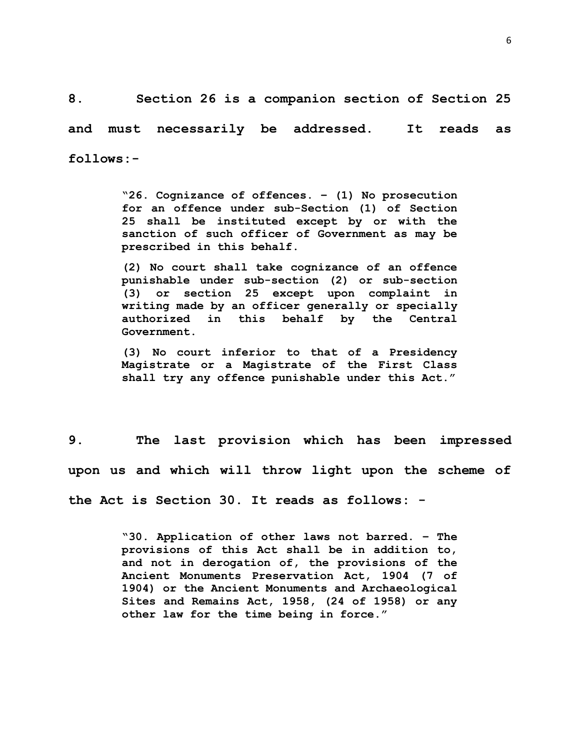**8. Section 26 is a companion section of Section 25 and must necessarily be addressed. It reads as follows:-**

> **"26. Cognizance of offences. – (1) No prosecution for an offence under sub-Section (1) of Section 25 shall be instituted except by or with the sanction of such officer of Government as may be prescribed in this behalf.**

> **(2) No court shall take cognizance of an offence punishable under sub-section (2) or sub-section (3) or section 25 except upon complaint in writing made by an officer generally or specially authorized in this behalf by the Central Government.**

> **(3) No court inferior to that of a Presidency Magistrate or a Magistrate of the First Class shall try any offence punishable under this Act."**

**9. The last provision which has been impressed upon us and which will throw light upon the scheme of the Act is Section 30. It reads as follows: -**

> **"30. Application of other laws not barred. – The provisions of this Act shall be in addition to, and not in derogation of, the provisions of the Ancient Monuments Preservation Act, 1904 (7 of 1904) or the Ancient Monuments and Archaeological Sites and Remains Act, 1958, (24 of 1958) or any other law for the time being in force."**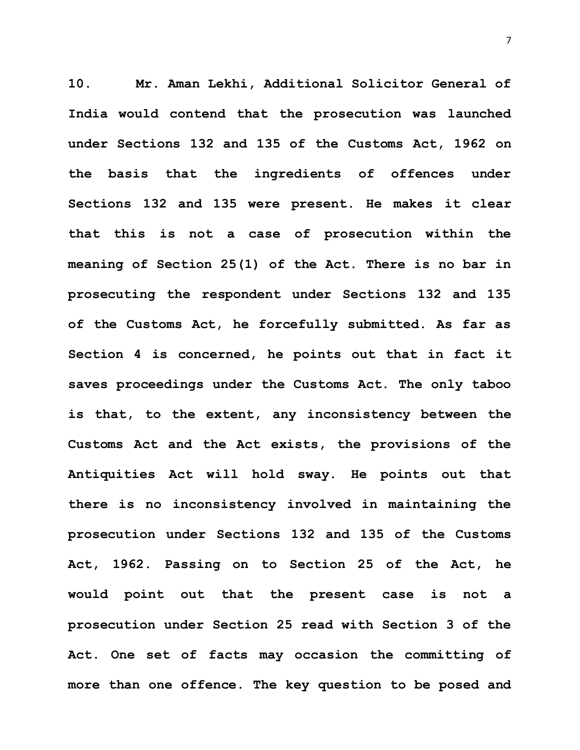**10. Mr. Aman Lekhi, Additional Solicitor General of India would contend that the prosecution was launched under Sections 132 and 135 of the Customs Act, 1962 on the basis that the ingredients of offences under Sections 132 and 135 were present. He makes it clear that this is not a case of prosecution within the meaning of Section 25(1) of the Act. There is no bar in prosecuting the respondent under Sections 132 and 135 of the Customs Act, he forcefully submitted. As far as Section 4 is concerned, he points out that in fact it saves proceedings under the Customs Act. The only taboo is that, to the extent, any inconsistency between the Customs Act and the Act exists, the provisions of the Antiquities Act will hold sway. He points out that there is no inconsistency involved in maintaining the prosecution under Sections 132 and 135 of the Customs Act, 1962. Passing on to Section 25 of the Act, he would point out that the present case is not a prosecution under Section 25 read with Section 3 of the Act. One set of facts may occasion the committing of more than one offence. The key question to be posed and** 

7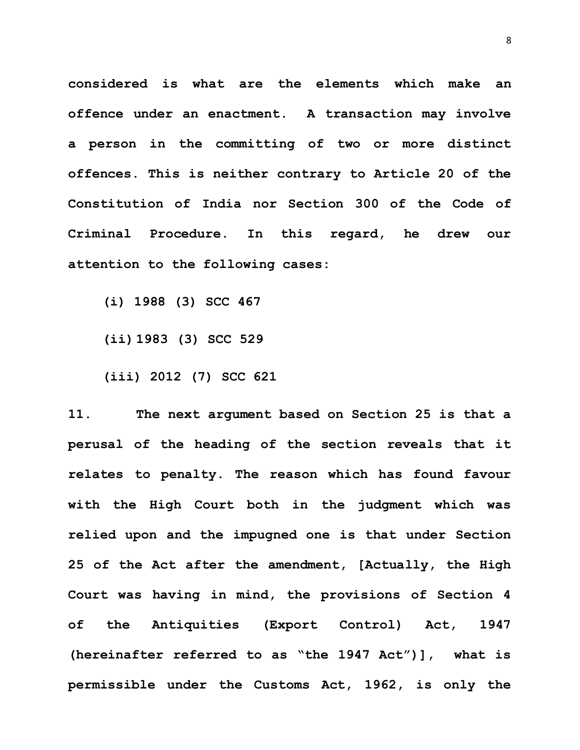**considered is what are the elements which make an offence under an enactment. A transaction may involve a person in the committing of two or more distinct offences. This is neither contrary to Article 20 of the Constitution of India nor Section 300 of the Code of Criminal Procedure. In this regard, he drew our attention to the following cases:**

**(i) 1988 (3) SCC 467**

**(ii) 1983 (3) SCC 529**

**(iii) 2012 (7) SCC 621**

**11. The next argument based on Section 25 is that a perusal of the heading of the section reveals that it relates to penalty. The reason which has found favour with the High Court both in the judgment which was relied upon and the impugned one is that under Section 25 of the Act after the amendment, [Actually, the High Court was having in mind, the provisions of Section 4 of the Antiquities (Export Control) Act, 1947 (hereinafter referred to as "the 1947 Act")], what is permissible under the Customs Act, 1962, is only the**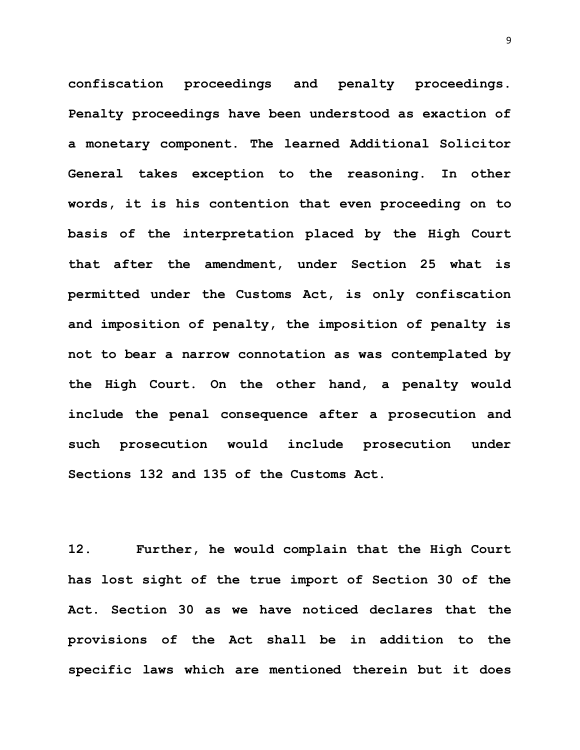**confiscation proceedings and penalty proceedings. Penalty proceedings have been understood as exaction of a monetary component. The learned Additional Solicitor General takes exception to the reasoning. In other words, it is his contention that even proceeding on to basis of the interpretation placed by the High Court that after the amendment, under Section 25 what is permitted under the Customs Act, is only confiscation and imposition of penalty, the imposition of penalty is not to bear a narrow connotation as was contemplated by the High Court. On the other hand, a penalty would include the penal consequence after a prosecution and such prosecution would include prosecution under Sections 132 and 135 of the Customs Act.** 

**12. Further, he would complain that the High Court has lost sight of the true import of Section 30 of the Act. Section 30 as we have noticed declares that the provisions of the Act shall be in addition to the specific laws which are mentioned therein but it does**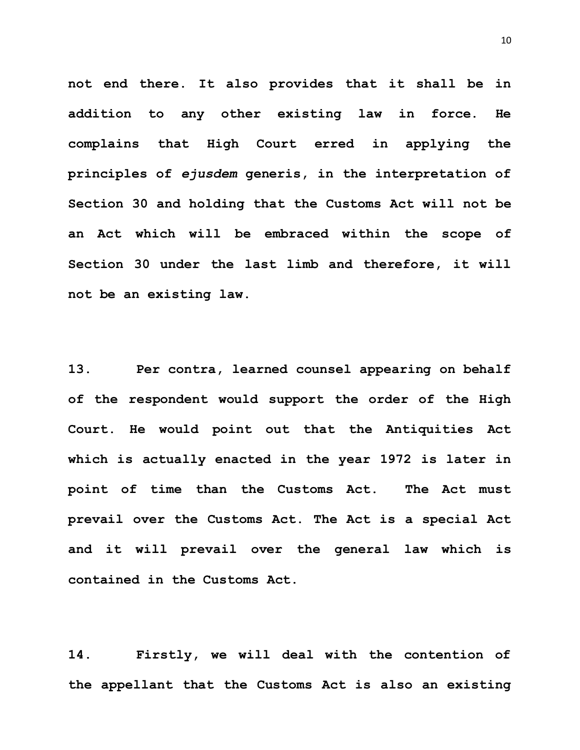**not end there. It also provides that it shall be in addition to any other existing law in force. He complains that High Court erred in applying the principles of** *ejusdem* **generis, in the interpretation of Section 30 and holding that the Customs Act will not be an Act which will be embraced within the scope of Section 30 under the last limb and therefore, it will not be an existing law.** 

**13. Per contra, learned counsel appearing on behalf of the respondent would support the order of the High Court. He would point out that the Antiquities Act which is actually enacted in the year 1972 is later in point of time than the Customs Act. The Act must prevail over the Customs Act. The Act is a special Act and it will prevail over the general law which is contained in the Customs Act.**

**14. Firstly, we will deal with the contention of the appellant that the Customs Act is also an existing**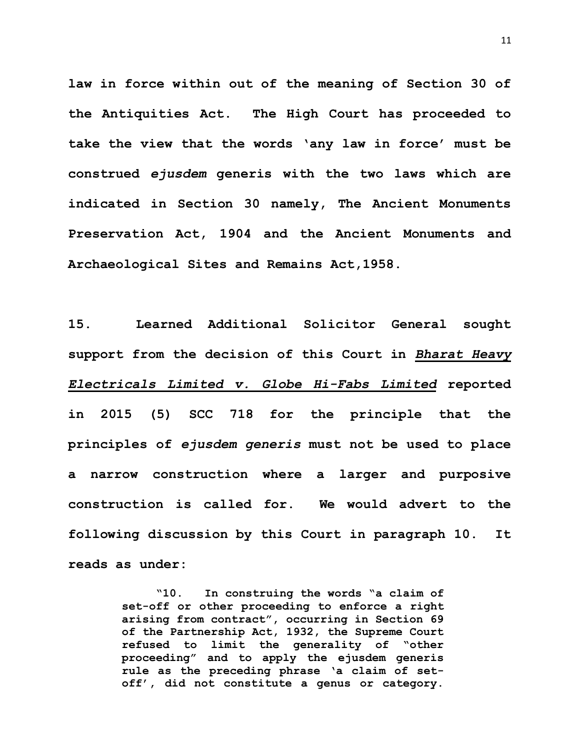**law in force within out of the meaning of Section 30 of the Antiquities Act. The High Court has proceeded to take the view that the words 'any law in force' must be construed** *ejusdem* **generis with the two laws which are indicated in Section 30 namely, The Ancient Monuments Preservation Act, 1904 and the Ancient Monuments and Archaeological Sites and Remains Act,1958.**

**15. Learned Additional Solicitor General sought support from the decision of this Court in** *Bharat Heavy Electricals Limited v. Globe Hi-Fabs Limited* **reported in 2015 (5) SCC 718 for the principle that the principles of** *ejusdem generis* **must not be used to place a narrow construction where a larger and purposive construction is called for. We would advert to the following discussion by this Court in paragraph 10. It reads as under:**

> **"10. In construing the words "a claim of set-off or other proceeding to enforce a right arising from contract", occurring in Section 69 of the Partnership Act, 1932, the Supreme Court refused to limit the generality of "other proceeding" and to apply the ejusdem generis rule as the preceding phrase 'a claim of setoff', did not constitute a genus or category.**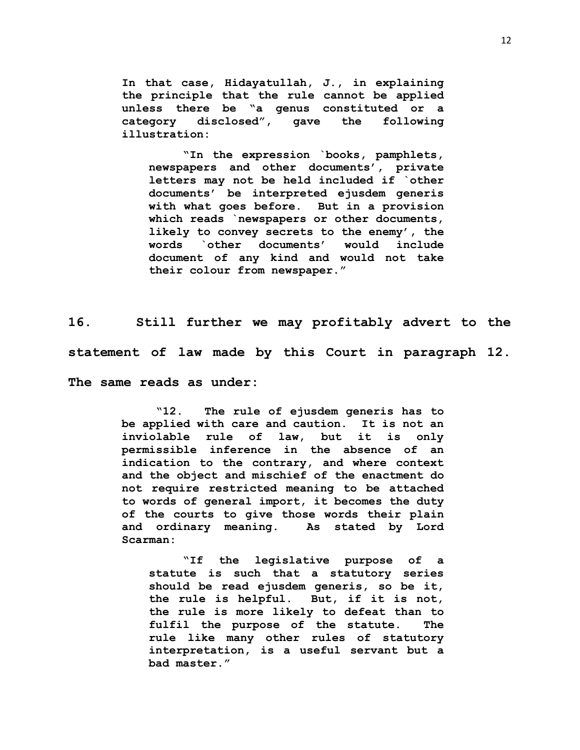**In that case, Hidayatullah, J., in explaining the principle that the rule cannot be applied unless there be "a genus constituted or a category disclosed", gave the following illustration:**

**"In the expression `books, pamphlets, newspapers and other documents', private letters may not be held included if `other documents' be interpreted ejusdem generis with what goes before. But in a provision which reads `newspapers or other documents, likely to convey secrets to the enemy', the words `other documents' would include document of any kind and would not take their colour from newspaper."**

**16. Still further we may profitably advert to the statement of law made by this Court in paragraph 12. The same reads as under:**

> **"12. The rule of ejusdem generis has to be applied with care and caution. It is not an inviolable rule of law, but it is only permissible inference in the absence of an indication to the contrary, and where context and the object and mischief of the enactment do not require restricted meaning to be attached to words of general import, it becomes the duty of the courts to give those words their plain and ordinary meaning. As stated by Lord Scarman:**

**"If the legislative purpose of a statute is such that a statutory series should be read ejusdem generis, so be it, the rule is helpful. But, if it is not, the rule is more likely to defeat than to fulfil the purpose of the statute. The rule like many other rules of statutory interpretation, is a useful servant but a bad master."**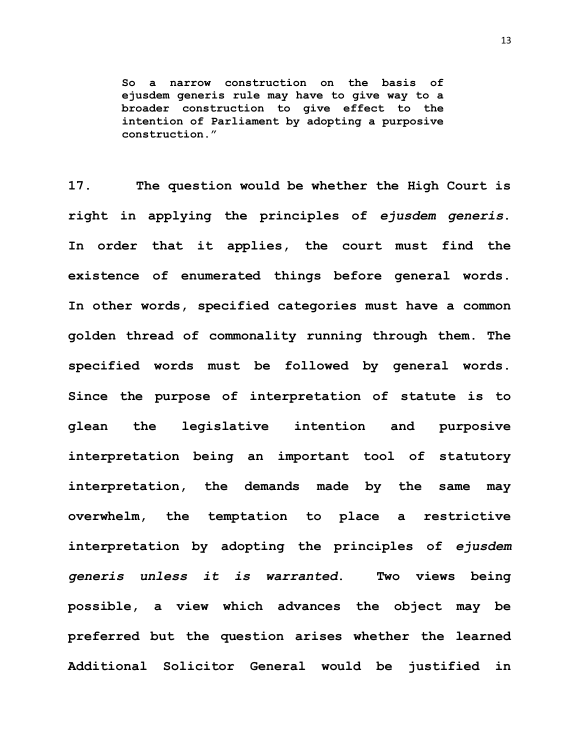**So a narrow construction on the basis of ejusdem generis rule may have to give way to a broader construction to give effect to the intention of Parliament by adopting a purposive construction."**

**17. The question would be whether the High Court is right in applying the principles of** *ejusdem generis***. In order that it applies, the court must find the existence of enumerated things before general words. In other words, specified categories must have a common golden thread of commonality running through them. The specified words must be followed by general words. Since the purpose of interpretation of statute is to glean the legislative intention and purposive interpretation being an important tool of statutory interpretation, the demands made by the same may overwhelm, the temptation to place a restrictive interpretation by adopting the principles of** *ejusdem generis unless it is warranted***. Two views being possible, a view which advances the object may be preferred but the question arises whether the learned Additional Solicitor General would be justified in**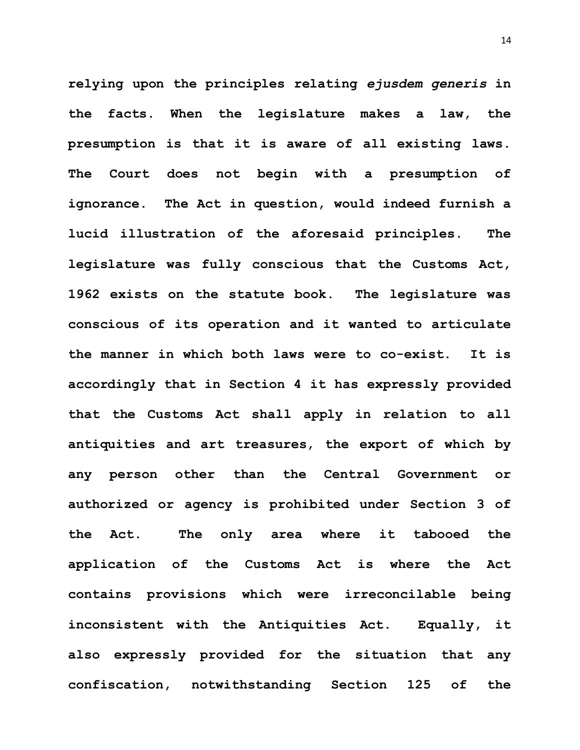**relying upon the principles relating** *ejusdem generis* **in the facts. When the legislature makes a law, the presumption is that it is aware of all existing laws. The Court does not begin with a presumption of ignorance. The Act in question, would indeed furnish a lucid illustration of the aforesaid principles. The legislature was fully conscious that the Customs Act, 1962 exists on the statute book. The legislature was conscious of its operation and it wanted to articulate the manner in which both laws were to co-exist. It is accordingly that in Section 4 it has expressly provided that the Customs Act shall apply in relation to all antiquities and art treasures, the export of which by any person other than the Central Government or authorized or agency is prohibited under Section 3 of the Act. The only area where it tabooed the application of the Customs Act is where the Act contains provisions which were irreconcilable being inconsistent with the Antiquities Act. Equally, it also expressly provided for the situation that any confiscation, notwithstanding Section 125 of the** 

14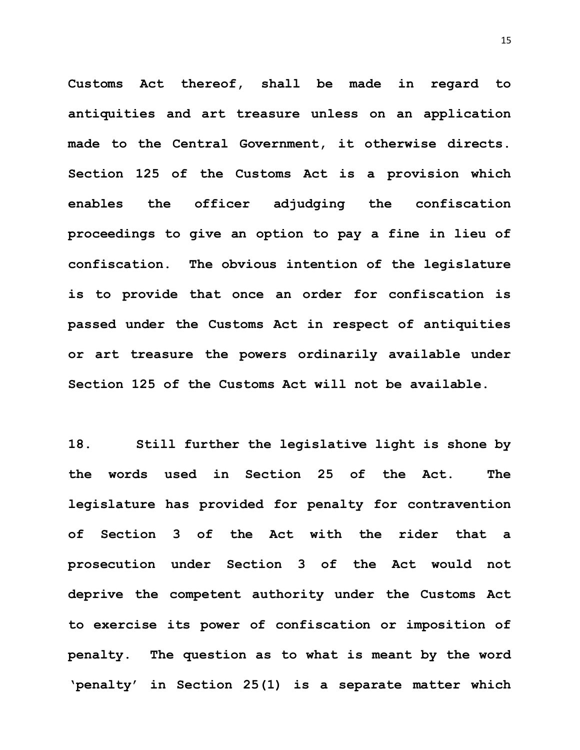**Customs Act thereof, shall be made in regard to antiquities and art treasure unless on an application made to the Central Government, it otherwise directs. Section 125 of the Customs Act is a provision which enables the officer adjudging the confiscation proceedings to give an option to pay a fine in lieu of confiscation. The obvious intention of the legislature is to provide that once an order for confiscation is passed under the Customs Act in respect of antiquities or art treasure the powers ordinarily available under Section 125 of the Customs Act will not be available.**

**18. Still further the legislative light is shone by the words used in Section 25 of the Act. The legislature has provided for penalty for contravention of Section 3 of the Act with the rider that a prosecution under Section 3 of the Act would not deprive the competent authority under the Customs Act to exercise its power of confiscation or imposition of penalty. The question as to what is meant by the word 'penalty' in Section 25(1) is a separate matter which**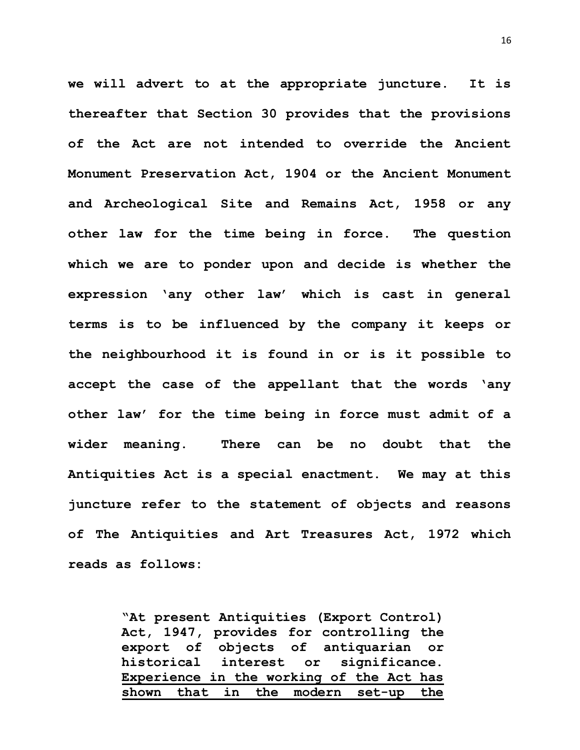**we will advert to at the appropriate juncture. It is thereafter that Section 30 provides that the provisions of the Act are not intended to override the Ancient Monument Preservation Act, 1904 or the Ancient Monument and Archeological Site and Remains Act, 1958 or any other law for the time being in force. The question which we are to ponder upon and decide is whether the expression 'any other law' which is cast in general terms is to be influenced by the company it keeps or the neighbourhood it is found in or is it possible to accept the case of the appellant that the words 'any other law' for the time being in force must admit of a wider meaning. There can be no doubt that the Antiquities Act is a special enactment. We may at this juncture refer to the statement of objects and reasons of The Antiquities and Art Treasures Act, 1972 which reads as follows:**

> **"At present Antiquities (Export Control) Act, 1947, provides for controlling the export of objects of antiquarian or historical interest or significance. Experience in the working of the Act has shown that in the modern set-up the**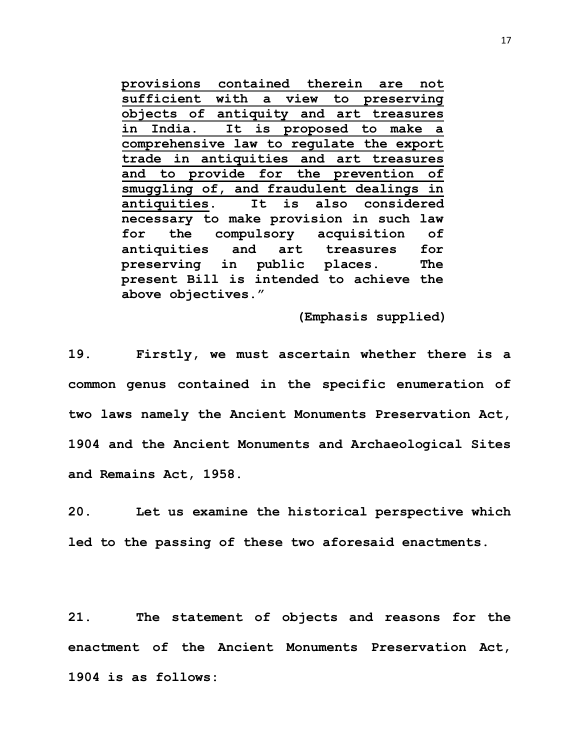**provisions contained therein are not sufficient with a view to preserving objects of antiquity and art treasures in India. It is proposed to make a comprehensive law to regulate the export trade in antiquities and art treasures and to provide for the prevention of smuggling of, and fraudulent dealings in antiquities. It is also considered necessary to make provision in such law for the compulsory acquisition of antiquities and art treasures for preserving in public places. The present Bill is intended to achieve the above objectives."**

 **(Emphasis supplied)**

**19. Firstly, we must ascertain whether there is a common genus contained in the specific enumeration of two laws namely the Ancient Monuments Preservation Act, 1904 and the Ancient Monuments and Archaeological Sites and Remains Act, 1958.**

**20. Let us examine the historical perspective which led to the passing of these two aforesaid enactments.**

**21. The statement of objects and reasons for the enactment of the Ancient Monuments Preservation Act, 1904 is as follows:**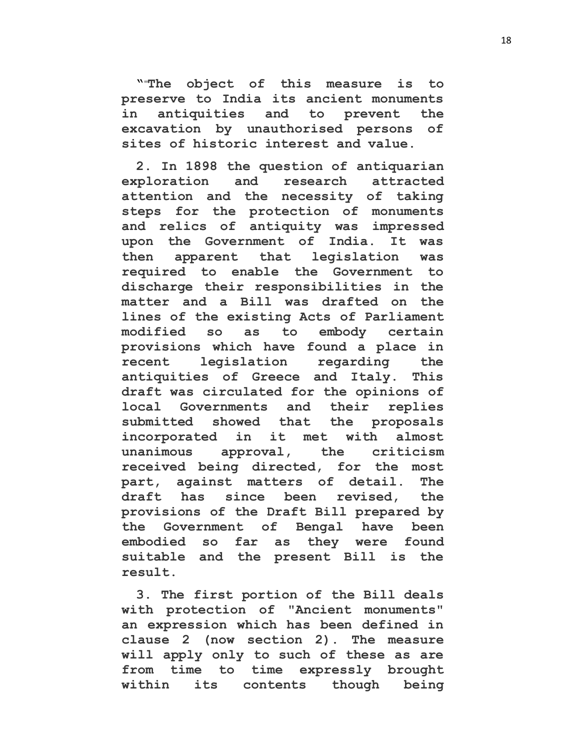**"**"**The object of this measure is to preserve to India its ancient monuments in antiquities and to prevent the excavation by unauthorised persons of sites of historic interest and value.** 

**2. In 1898 the question of antiquarian exploration and research attracted attention and the necessity of taking steps for the protection of monuments and relics of antiquity was impressed upon the Government of India. It was then apparent that legislation was required to enable the Government to discharge their responsibilities in the matter and a Bill was drafted on the lines of the existing Acts of Parliament modified so as to embody certain provisions which have found a place in recent legislation regarding the antiquities of Greece and Italy. This draft was circulated for the opinions of local Governments and their replies submitted showed that the proposals incorporated in it met with almost unanimous approval, the criticism received being directed, for the most part, against matters of detail. The draft has since been revised, the provisions of the Draft Bill prepared by the Government of Bengal have been embodied so far as they were found suitable and the present Bill is the result.** 

**3. The first portion of the Bill deals with protection of "Ancient monuments" an expression which has been defined in clause 2 (now section 2). The measure will apply only to such of these as are from time to time expressly brought within its contents though being**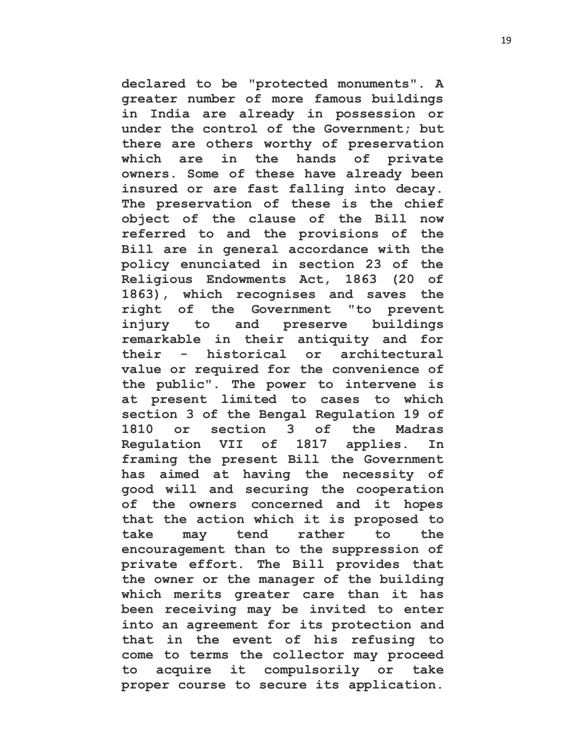**declared to be "protected monuments". A greater number of more famous buildings in India are already in possession or under the control of the Government; but there are others worthy of preservation which are in the hands of private owners. Some of these have already been insured or are fast falling into decay. The preservation of these is the chief object of the clause of the Bill now referred to and the provisions of the Bill are in general accordance with the policy enunciated in section 23 of the Religious Endowments Act, 1863 (20 of 1863), which recognises and saves the right of the Government "to prevent injury to and preserve buildings remarkable in their antiquity and for their - historical or architectural value or required for the convenience of the public". The power to intervene is at present limited to cases to which section 3 of the Bengal Regulation 19 of 1810 or section 3 of the Madras Regulation VII of 1817 applies. In framing the present Bill the Government has aimed at having the necessity of good will and securing the cooperation of the owners concerned and it hopes that the action which it is proposed to take may tend rather to the encouragement than to the suppression of private effort. The Bill provides that the owner or the manager of the building which merits greater care than it has been receiving may be invited to enter into an agreement for its protection and that in the event of his refusing to come to terms the collector may proceed to acquire it compulsorily or take proper course to secure its application.**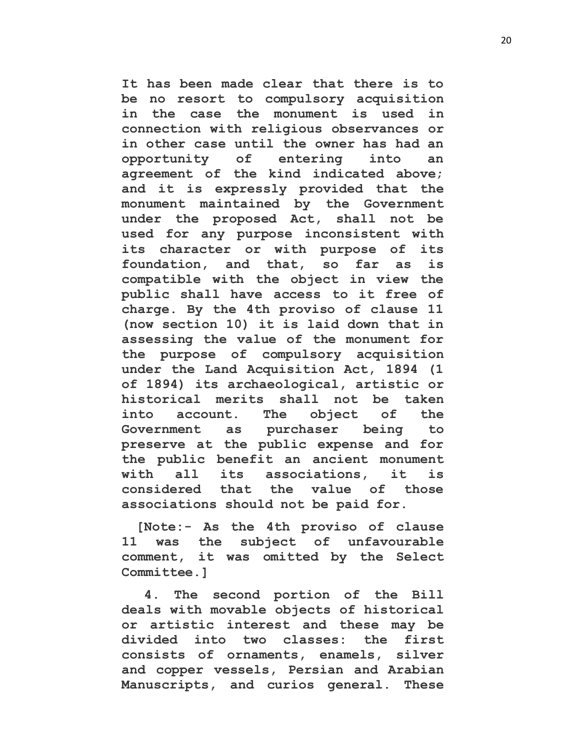**It has been made clear that there is to be no resort to compulsory acquisition in the case the monument is used in connection with religious observances or in other case until the owner has had an opportunity of entering into an agreement of the kind indicated above; and it is expressly provided that the monument maintained by the Government under the proposed Act, shall not be used for any purpose inconsistent with its character or with purpose of its foundation, and that, so far as is compatible with the object in view the public shall have access to it free of charge. By the 4th proviso of clause 11 (now section 10) it is laid down that in assessing the value of the monument for the purpose of compulsory acquisition under the Land Acquisition Act, 1894 (1 of 1894) its archaeological, artistic or historical merits shall not be taken into account. The object of the Government as purchaser being to preserve at the public expense and for the public benefit an ancient monument with all its associations, it is considered that the value of those associations should not be paid for.** 

**[Note:- As the 4th proviso of clause 11 was the subject of unfavourable comment, it was omitted by the Select Committee.]**

**4. The second portion of the Bill deals with movable objects of historical or artistic interest and these may be divided into two classes: the first consists of ornaments, enamels, silver and copper vessels, Persian and Arabian Manuscripts, and curios general. These**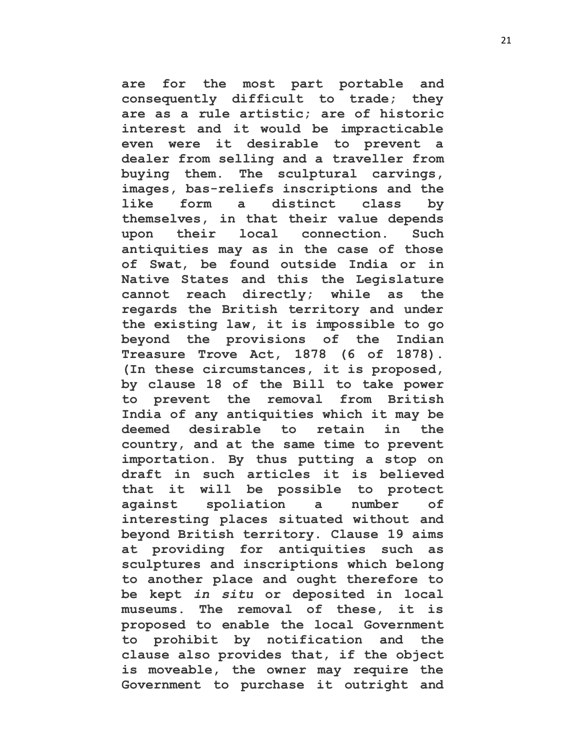**are for the most part portable and consequently difficult to trade; they are as a rule artistic; are of historic interest and it would be impracticable even were it desirable to prevent a dealer from selling and a traveller from buying them. The sculptural carvings, images, bas-reliefs inscriptions and the like form a distinct class by themselves, in that their value depends upon their local connection. Such antiquities may as in the case of those of Swat, be found outside India or in Native States and this the Legislature cannot reach directly; while as the regards the British territory and under the existing law, it is impossible to go beyond the provisions of the Indian Treasure Trove Act, 1878 (6 of 1878). (In these circumstances, it is proposed, by clause 18 of the Bill to take power to prevent the removal from British India of any antiquities which it may be deemed desirable to retain in the country, and at the same time to prevent importation. By thus putting a stop on draft in such articles it is believed that it will be possible to protect against spoliation a number of interesting places situated without and beyond British territory. Clause 19 aims at providing for antiquities such as sculptures and inscriptions which belong to another place and ought therefore to be kept** *in situ* **or deposited in local museums. The removal of these, it is proposed to enable the local Government to prohibit by notification and the clause also provides that, if the object is moveable, the owner may require the Government to purchase it outright and**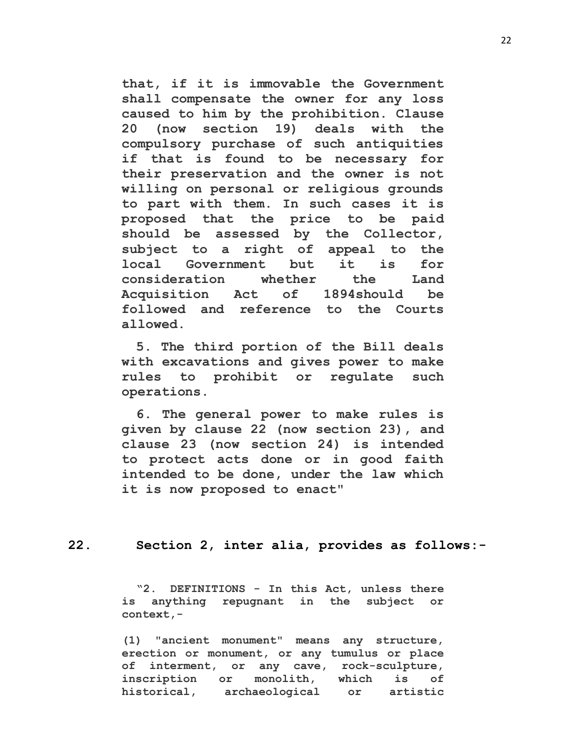**that, if it is immovable the Government shall compensate the owner for any loss caused to him by the prohibition. Clause 20 (now section 19) deals with the compulsory purchase of such antiquities if that is found to be necessary for their preservation and the owner is not willing on personal or religious grounds to part with them. In such cases it is proposed that the price to be paid should be assessed by the Collector, subject to a right of appeal to the local Government but it is for consideration whether the Land Acquisition Act of 1894should be followed and reference to the Courts allowed.** 

**5. The third portion of the Bill deals with excavations and gives power to make rules to prohibit or regulate such operations.** 

**6. The general power to make rules is given by clause 22 (now section 23), and clause 23 (now section 24) is intended to protect acts done or in good faith intended to be done, under the law which it is now proposed to enact"** 

**22. Section 2, inter alia, provides as follows:-**

**"2. DEFINITIONS - In this Act, unless there is anything repugnant in the subject or context,-**

**(1) "ancient monument" means any structure, erection or monument, or any tumulus or place of interment, or any cave, rock-sculpture, inscription or monolith, which is of historical, archaeological or artistic**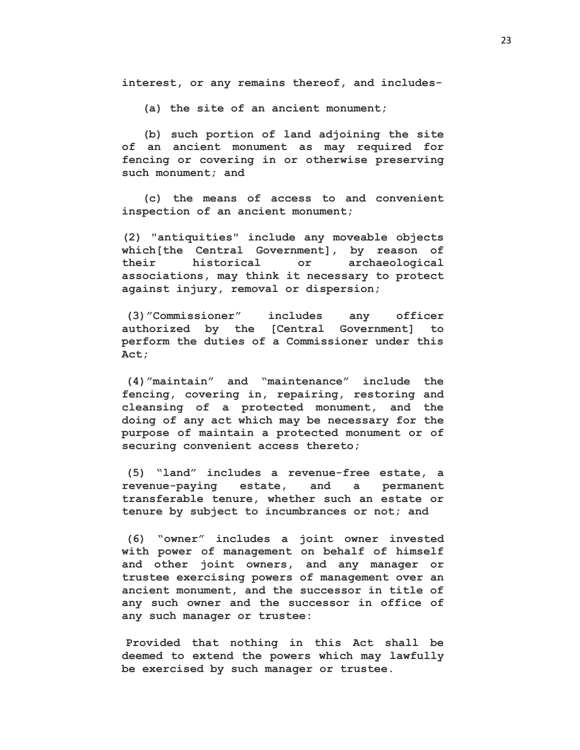**interest, or any remains thereof, and includes-**

 **(a) the site of an ancient monument;**

 **(b) such portion of land adjoining the site of an ancient monument as may required for fencing or covering in or otherwise preserving such monument; and**

 **(c) the means of access to and convenient inspection of an ancient monument;**

**(2) "antiquities" include any moveable objects which[the Central Government], by reason of their historical or archaeological associations, may think it necessary to protect against injury, removal or dispersion;**

**(3)"Commissioner" includes any officer authorized by the [Central Government] to perform the duties of a Commissioner under this Act;**

**(4)"maintain" and "maintenance" include the fencing, covering in, repairing, restoring and cleansing of a protected monument, and the doing of any act which may be necessary for the purpose of maintain a protected monument or of securing convenient access thereto;**

**(5) "land" includes a revenue-free estate, a revenue-paying estate, and a permanent transferable tenure, whether such an estate or tenure by subject to incumbrances or not; and** 

**(6) "owner" includes a joint owner invested with power of management on behalf of himself and other joint owners, and any manager or trustee exercising powers of management over an ancient monument, and the successor in title of any such owner and the successor in office of any such manager or trustee:**

**Provided that nothing in this Act shall be deemed to extend the powers which may lawfully be exercised by such manager or trustee.**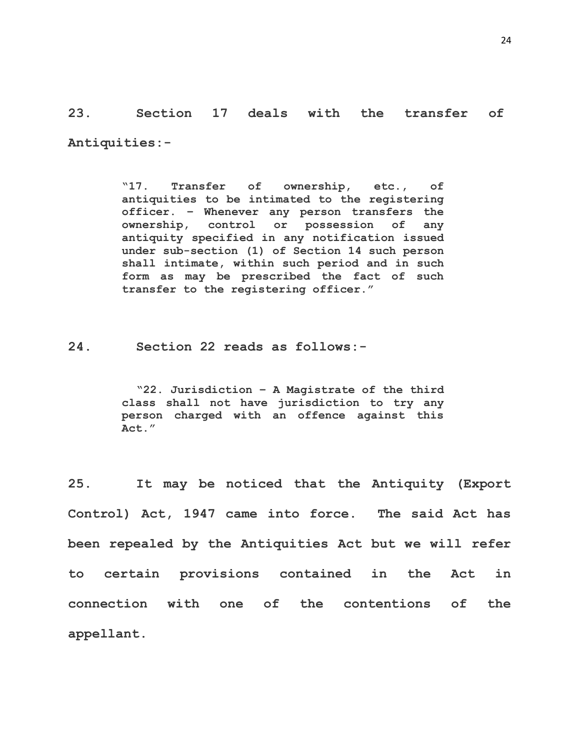**23. Section 17 deals with the transfer of Antiquities:-**

> **"17. Transfer of ownership, etc., of antiquities to be intimated to the registering officer. – Whenever any person transfers the ownership, control or possession of any antiquity specified in any notification issued under sub-section (1) of Section 14 such person shall intimate, within such period and in such form as may be prescribed the fact of such transfer to the registering officer."**

**24. Section 22 reads as follows:-**

**"22. Jurisdiction – A Magistrate of the third class shall not have jurisdiction to try any person charged with an offence against this Act."**

**25. It may be noticed that the Antiquity (Export Control) Act, 1947 came into force. The said Act has been repealed by the Antiquities Act but we will refer to certain provisions contained in the Act in connection with one of the contentions of the appellant.**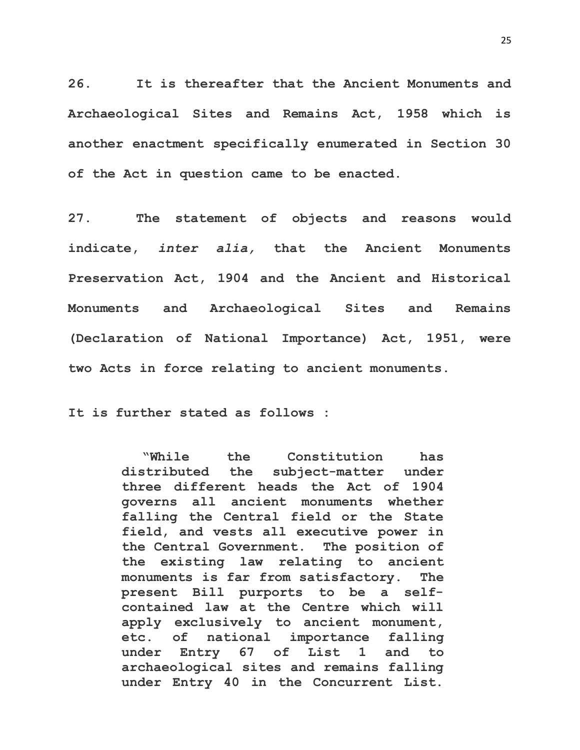**26. It is thereafter that the Ancient Monuments and Archaeological Sites and Remains Act, 1958 which is another enactment specifically enumerated in Section 30 of the Act in question came to be enacted.** 

**27. The statement of objects and reasons would indicate,** *inter alia,* **that the Ancient Monuments Preservation Act, 1904 and the Ancient and Historical Monuments and Archaeological Sites and Remains (Declaration of National Importance) Act, 1951, were two Acts in force relating to ancient monuments.**

**It is further stated as follows :**

**"While the Constitution has distributed the subject-matter under three different heads the Act of 1904 governs all ancient monuments whether falling the Central field or the State field, and vests all executive power in the Central Government. The position of the existing law relating to ancient monuments is far from satisfactory. The present Bill purports to be a selfcontained law at the Centre which will apply exclusively to ancient monument, etc. of national importance falling under Entry 67 of List 1 and to archaeological sites and remains falling under Entry 40 in the Concurrent List.**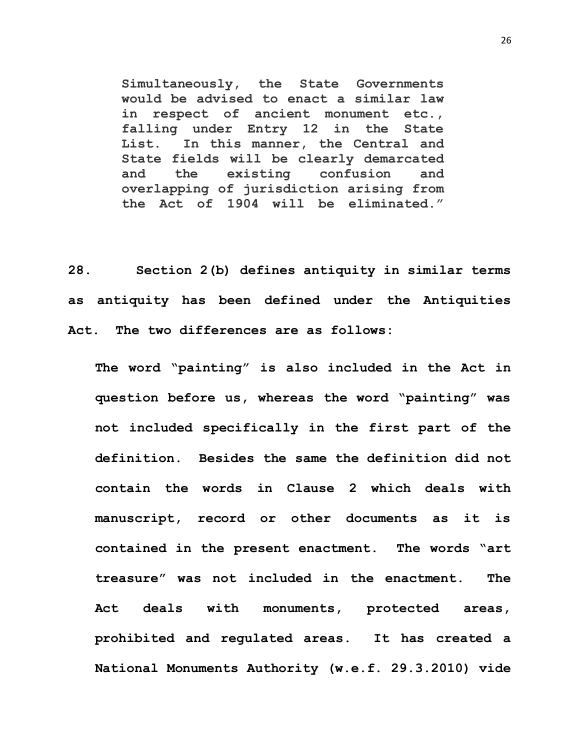**Simultaneously, the State Governments would be advised to enact a similar law in respect of ancient monument etc., falling under Entry 12 in the State List. In this manner, the Central and State fields will be clearly demarcated and the existing confusion and overlapping of jurisdiction arising from the Act of 1904 will be eliminated."** 

**28. Section 2(b) defines antiquity in similar terms as antiquity has been defined under the Antiquities Act. The two differences are as follows:**

**The word "painting" is also included in the Act in question before us, whereas the word "painting" was not included specifically in the first part of the definition. Besides the same the definition did not contain the words in Clause 2 which deals with manuscript, record or other documents as it is contained in the present enactment. The words "art treasure" was not included in the enactment. The Act deals with monuments, protected areas, prohibited and regulated areas. It has created a National Monuments Authority (w.e.f. 29.3.2010) vide** 

26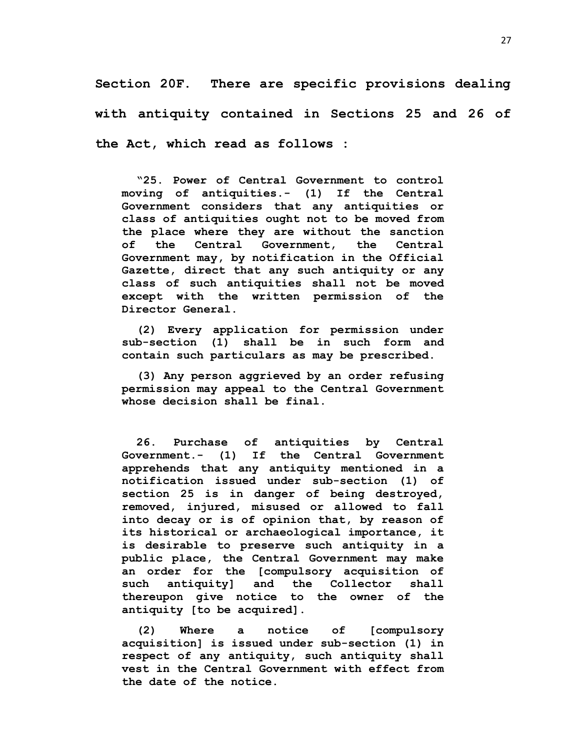**Section 20F. There are specific provisions dealing with antiquity contained in Sections 25 and 26 of the Act, which read as follows :**

**"25. Power of Central Government to control moving of antiquities.- (1) If the Central Government considers that any antiquities or class of antiquities ought not to be moved from the place where they are without the sanction of the Central Government, the Central Government may, by notification in the Official Gazette, direct that any such antiquity or any class of such antiquities shall not be moved except with the written permission of the Director General.** 

**(2) Every application for permission under sub-section (1) shall be in such form and contain such particulars as may be prescribed.** 

**(3) Any person aggrieved by an order refusing permission may appeal to the Central Government whose decision shall be final.**

**26. Purchase of antiquities by Central Government.- (1) If the Central Government apprehends that any antiquity mentioned in a notification issued under sub-section (1) of section 25 is in danger of being destroyed, removed, injured, misused or allowed to fall into decay or is of opinion that, by reason of its historical or archaeological importance, it is desirable to preserve such antiquity in a public place, the Central Government may make an order for the [compulsory acquisition of such antiquity] and the Collector shall thereupon give notice to the owner of the antiquity [to be acquired].** 

**(2) Where a notice of [compulsory acquisition] is issued under sub-section (1) in respect of any antiquity, such antiquity shall vest in the Central Government with effect from the date of the notice.**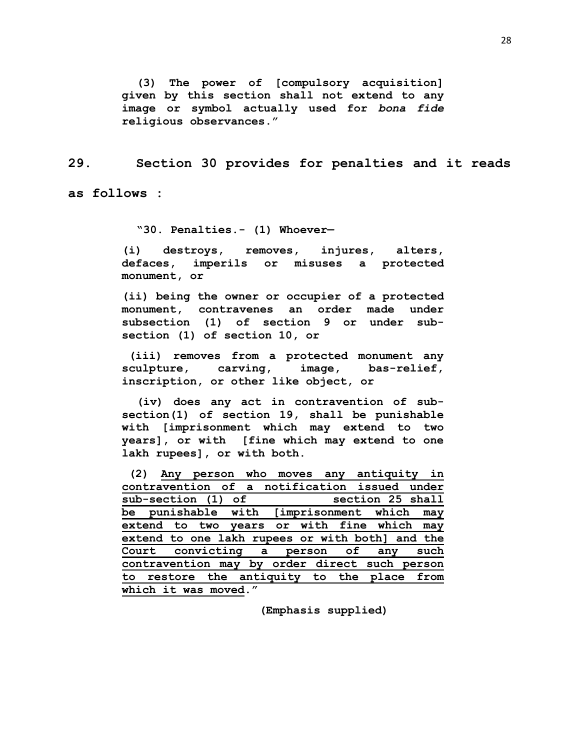**(3) The power of [compulsory acquisition] given by this section shall not extend to any image or symbol actually used for** *bona fide* **religious observances."** 

**29. Section 30 provides for penalties and it reads** 

**as follows :**

**"30. Penalties.- (1) Whoever—**

**(i) destroys, removes, injures, alters, defaces, imperils or misuses a protected monument, or** 

**(ii) being the owner or occupier of a protected monument, contravenes an order made under subsection (1) of section 9 or under subsection (1) of section 10, or**

**(iii) removes from a protected monument any sculpture, carving, image, bas-relief, inscription, or other like object, or** 

**(iv) does any act in contravention of subsection(1) of section 19, shall be punishable with [imprisonment which may extend to two years], or with [fine which may extend to one lakh rupees], or with both.**

|                                                 |  |  | (2) Any person who moves any antiquity in    |  |  |  |  |  |     |
|-------------------------------------------------|--|--|----------------------------------------------|--|--|--|--|--|-----|
|                                                 |  |  | contravention of a notification issued under |  |  |  |  |  |     |
| sub-section (1) of<br>section 25 shall          |  |  |                                              |  |  |  |  |  |     |
| be punishable with [imprisonment which<br>may   |  |  |                                              |  |  |  |  |  |     |
|                                                 |  |  | extend to two years or with fine which       |  |  |  |  |  | may |
| extend to one lakh rupees or with both] and the |  |  |                                              |  |  |  |  |  |     |
|                                                 |  |  | Court convicting a person of any such        |  |  |  |  |  |     |
| contravention may by order direct such person   |  |  |                                              |  |  |  |  |  |     |
|                                                 |  |  | to restore the antiquity to the place from   |  |  |  |  |  |     |
| which it was moved."                            |  |  |                                              |  |  |  |  |  |     |

 **(Emphasis supplied)**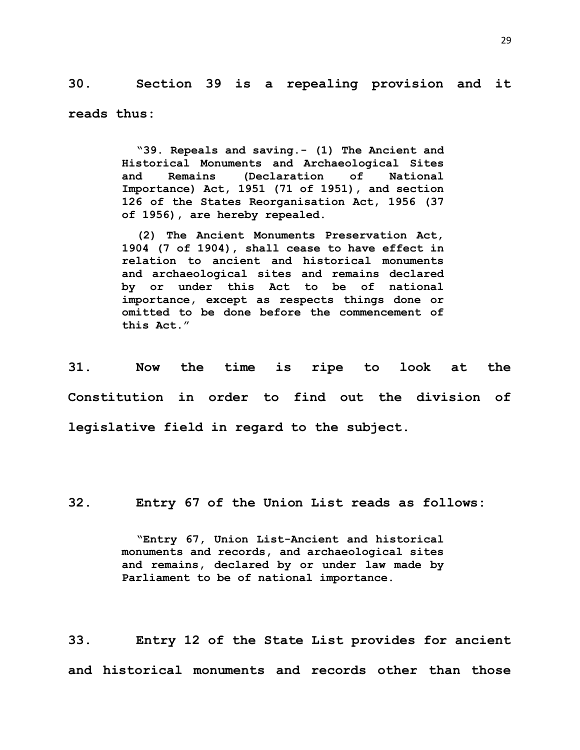**30. Section 39 is a repealing provision and it** 

**reads thus:**

**"39. Repeals and saving.- (1) The Ancient and Historical Monuments and Archaeological Sites and Remains (Declaration of National Importance) Act, 1951 (71 of 1951), and section 126 of the States Reorganisation Act, 1956 (37 of 1956), are hereby repealed.** 

**(2) The Ancient Monuments Preservation Act, 1904 (7 of 1904), shall cease to have effect in relation to ancient and historical monuments and archaeological sites and remains declared by or under this Act to be of national importance, except as respects things done or omitted to be done before the commencement of this Act."**

**31. Now the time is ripe to look at the Constitution in order to find out the division of legislative field in regard to the subject.**

**32. Entry 67 of the Union List reads as follows:**

**"Entry 67, Union List-Ancient and historical monuments and records, and archaeological sites and remains, declared by or under law made by Parliament to be of national importance.**

**33. Entry 12 of the State List provides for ancient and historical monuments and records other than those**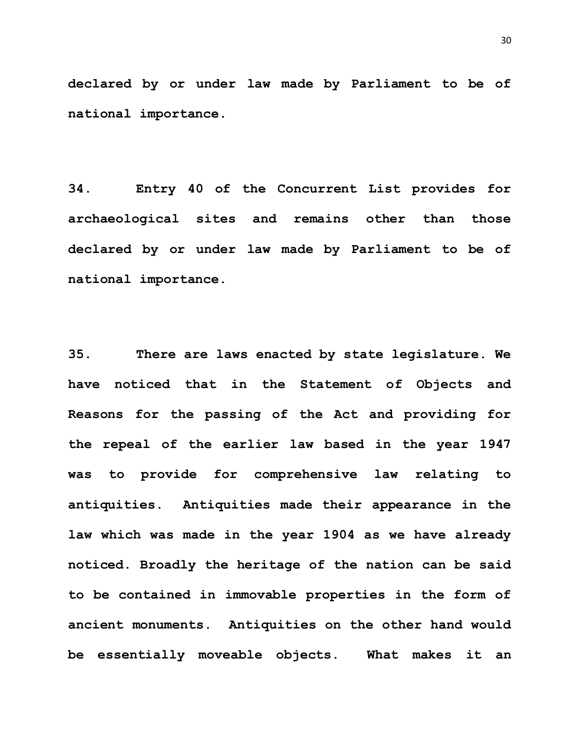**declared by or under law made by Parliament to be of national importance.**

**34. Entry 40 of the Concurrent List provides for archaeological sites and remains other than those declared by or under law made by Parliament to be of national importance.** 

**35. There are laws enacted by state legislature. We have noticed that in the Statement of Objects and Reasons for the passing of the Act and providing for the repeal of the earlier law based in the year 1947 was to provide for comprehensive law relating to antiquities. Antiquities made their appearance in the law which was made in the year 1904 as we have already noticed. Broadly the heritage of the nation can be said to be contained in immovable properties in the form of ancient monuments. Antiquities on the other hand would be essentially moveable objects. What makes it an**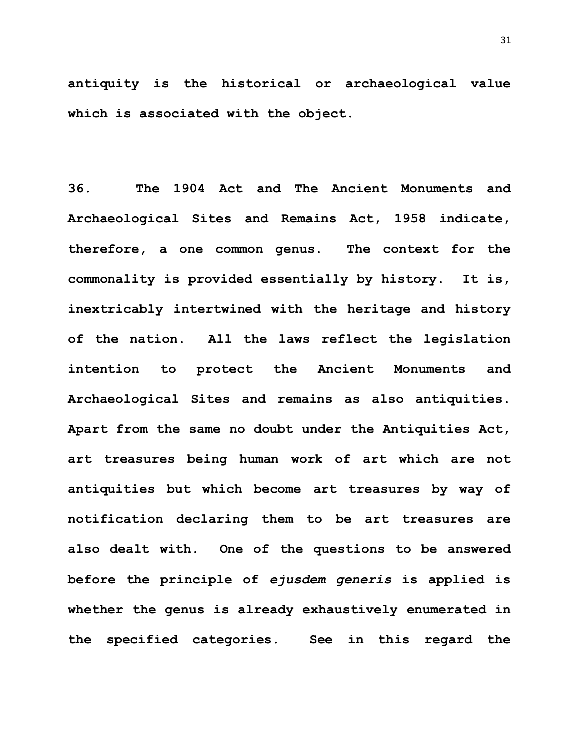**antiquity is the historical or archaeological value which is associated with the object.** 

**36. The 1904 Act and The Ancient Monuments and Archaeological Sites and Remains Act, 1958 indicate, therefore, a one common genus. The context for the commonality is provided essentially by history. It is, inextricably intertwined with the heritage and history of the nation. All the laws reflect the legislation intention to protect the Ancient Monuments and Archaeological Sites and remains as also antiquities. Apart from the same no doubt under the Antiquities Act, art treasures being human work of art which are not antiquities but which become art treasures by way of notification declaring them to be art treasures are also dealt with. One of the questions to be answered before the principle of** *ejusdem generis* **is applied is whether the genus is already exhaustively enumerated in the specified categories. See in this regard the**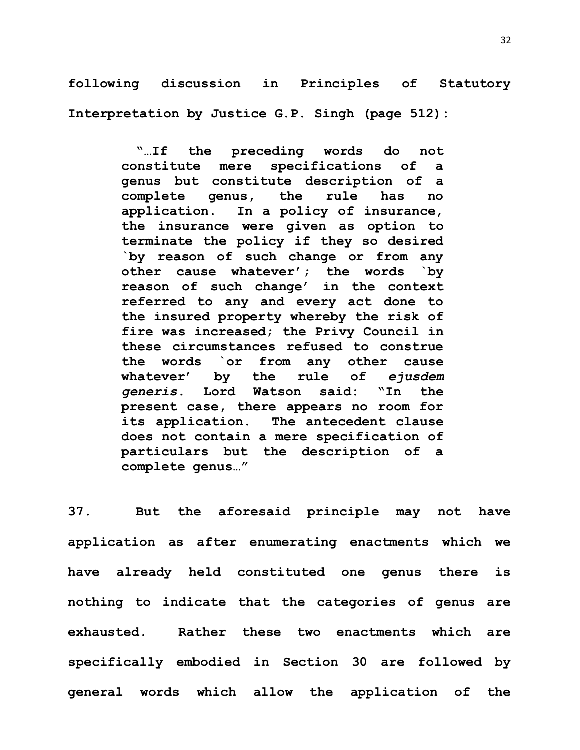**following discussion in Principles of Statutory Interpretation by Justice G.P. Singh (page 512):**

> **"…If the preceding words do not constitute mere specifications of a genus but constitute description of a complete genus, the rule has no application. In a policy of insurance, the insurance were given as option to terminate the policy if they so desired `by reason of such change or from any other cause whatever'; the words `by reason of such change' in the context referred to any and every act done to the insured property whereby the risk of fire was increased; the Privy Council in these circumstances refused to construe the words `or from any other cause whatever' by the rule of** *ejusdem generis.* **Lord Watson said: "In the present case, there appears no room for its application. The antecedent clause does not contain a mere specification of particulars but the description of a complete genus…"**

**37. But the aforesaid principle may not have application as after enumerating enactments which we have already held constituted one genus there is nothing to indicate that the categories of genus are exhausted. Rather these two enactments which are specifically embodied in Section 30 are followed by general words which allow the application of the**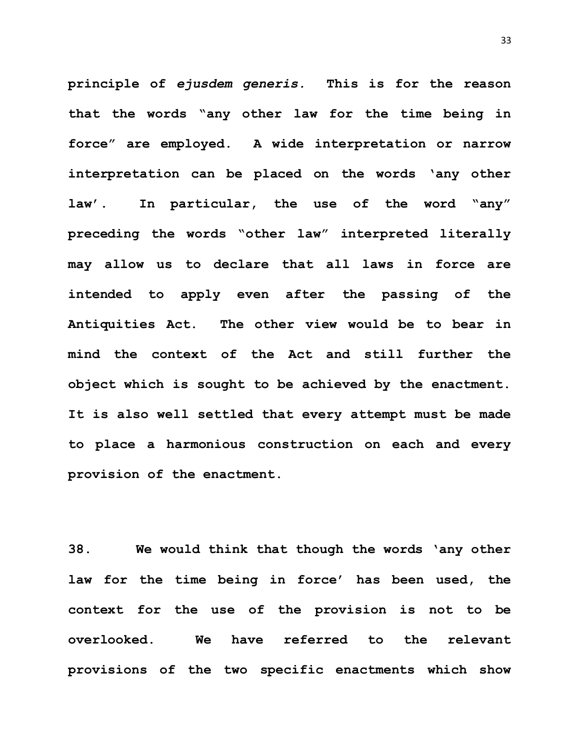**principle of** *ejusdem generis.* **This is for the reason that the words "any other law for the time being in force" are employed. A wide interpretation or narrow interpretation can be placed on the words 'any other law'. In particular, the use of the word "any" preceding the words "other law" interpreted literally may allow us to declare that all laws in force are intended to apply even after the passing of the Antiquities Act. The other view would be to bear in mind the context of the Act and still further the object which is sought to be achieved by the enactment. It is also well settled that every attempt must be made to place a harmonious construction on each and every provision of the enactment.**

**38. We would think that though the words 'any other law for the time being in force' has been used, the context for the use of the provision is not to be overlooked. We have referred to the relevant provisions of the two specific enactments which show**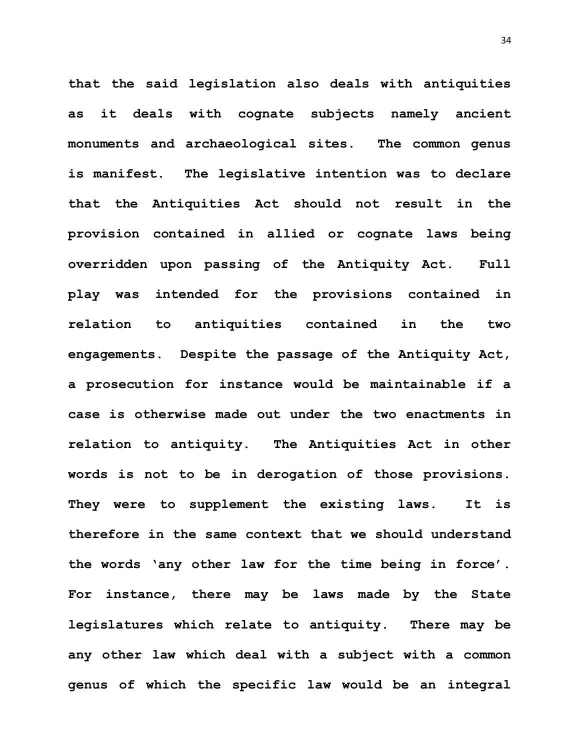**that the said legislation also deals with antiquities as it deals with cognate subjects namely ancient monuments and archaeological sites. The common genus is manifest. The legislative intention was to declare that the Antiquities Act should not result in the provision contained in allied or cognate laws being overridden upon passing of the Antiquity Act. Full play was intended for the provisions contained in relation to antiquities contained in the two engagements. Despite the passage of the Antiquity Act, a prosecution for instance would be maintainable if a case is otherwise made out under the two enactments in relation to antiquity. The Antiquities Act in other words is not to be in derogation of those provisions. They were to supplement the existing laws. It is therefore in the same context that we should understand the words 'any other law for the time being in force'. For instance, there may be laws made by the State legislatures which relate to antiquity. There may be any other law which deal with a subject with a common genus of which the specific law would be an integral** 

34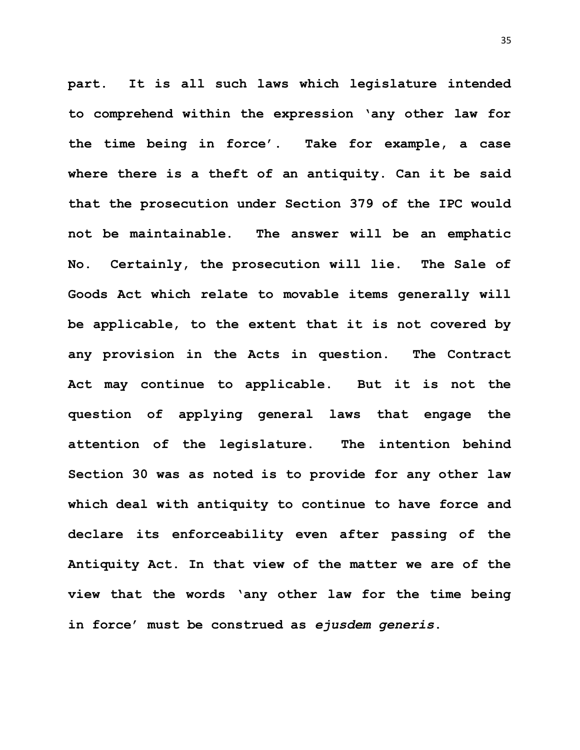**part. It is all such laws which legislature intended to comprehend within the expression 'any other law for the time being in force'. Take for example, a case where there is a theft of an antiquity. Can it be said that the prosecution under Section 379 of the IPC would not be maintainable. The answer will be an emphatic No. Certainly, the prosecution will lie. The Sale of Goods Act which relate to movable items generally will be applicable, to the extent that it is not covered by any provision in the Acts in question. The Contract Act may continue to applicable. But it is not the question of applying general laws that engage the attention of the legislature. The intention behind Section 30 was as noted is to provide for any other law which deal with antiquity to continue to have force and declare its enforceability even after passing of the Antiquity Act. In that view of the matter we are of the view that the words 'any other law for the time being in force' must be construed as** *ejusdem generis***.**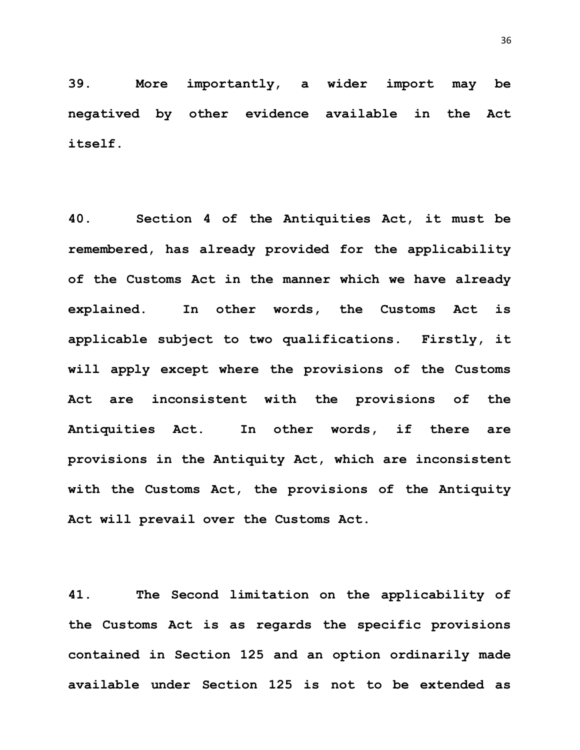**39. More importantly, a wider import may be negatived by other evidence available in the Act itself.**

**40. Section 4 of the Antiquities Act, it must be remembered, has already provided for the applicability of the Customs Act in the manner which we have already explained. In other words, the Customs Act is applicable subject to two qualifications. Firstly, it will apply except where the provisions of the Customs Act are inconsistent with the provisions of the Antiquities Act. In other words, if there are provisions in the Antiquity Act, which are inconsistent with the Customs Act, the provisions of the Antiquity Act will prevail over the Customs Act.**

**41. The Second limitation on the applicability of the Customs Act is as regards the specific provisions contained in Section 125 and an option ordinarily made available under Section 125 is not to be extended as**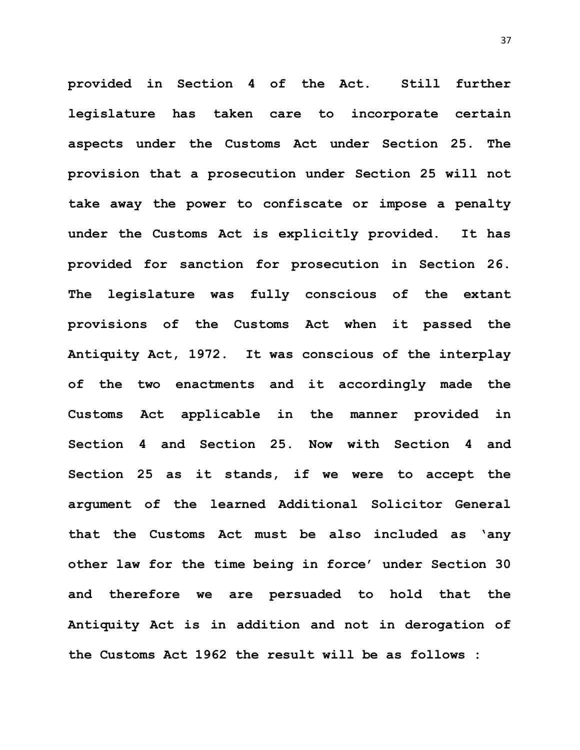**provided in Section 4 of the Act. Still further legislature has taken care to incorporate certain aspects under the Customs Act under Section 25. The provision that a prosecution under Section 25 will not take away the power to confiscate or impose a penalty under the Customs Act is explicitly provided. It has provided for sanction for prosecution in Section 26. The legislature was fully conscious of the extant provisions of the Customs Act when it passed the Antiquity Act, 1972. It was conscious of the interplay of the two enactments and it accordingly made the Customs Act applicable in the manner provided in Section 4 and Section 25. Now with Section 4 and Section 25 as it stands, if we were to accept the argument of the learned Additional Solicitor General that the Customs Act must be also included as 'any other law for the time being in force' under Section 30 and therefore we are persuaded to hold that the Antiquity Act is in addition and not in derogation of the Customs Act 1962 the result will be as follows :**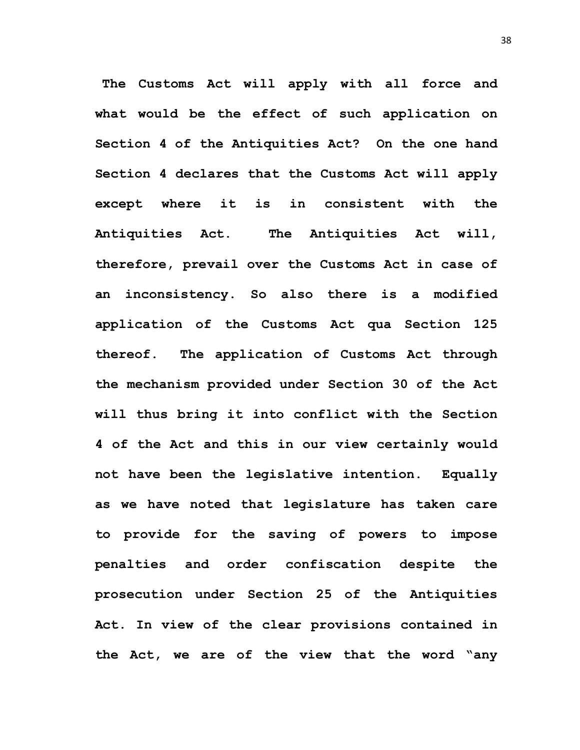**The Customs Act will apply with all force and what would be the effect of such application on Section 4 of the Antiquities Act? On the one hand Section 4 declares that the Customs Act will apply except where it is in consistent with the Antiquities Act. The Antiquities Act will, therefore, prevail over the Customs Act in case of an inconsistency. So also there is a modified application of the Customs Act qua Section 125 thereof. The application of Customs Act through the mechanism provided under Section 30 of the Act will thus bring it into conflict with the Section 4 of the Act and this in our view certainly would not have been the legislative intention. Equally as we have noted that legislature has taken care to provide for the saving of powers to impose penalties and order confiscation despite the prosecution under Section 25 of the Antiquities Act. In view of the clear provisions contained in the Act, we are of the view that the word "any**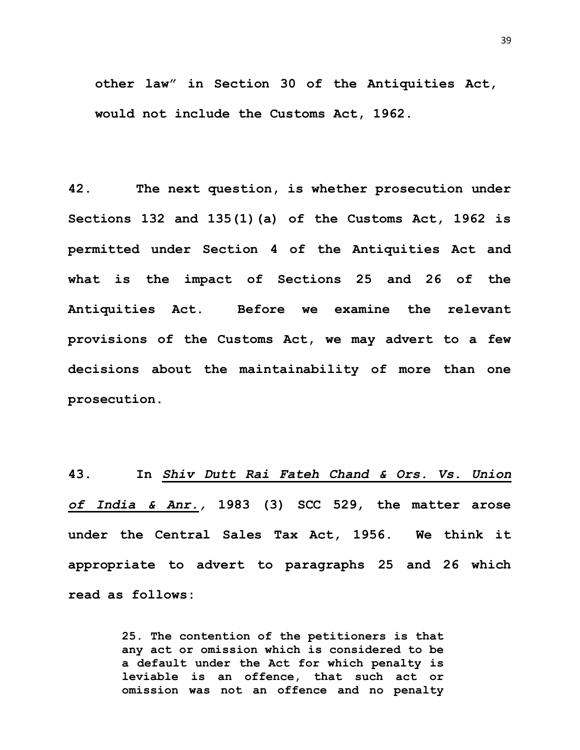**other law" in Section 30 of the Antiquities Act, would not include the Customs Act, 1962.**

**42. The next question, is whether prosecution under Sections 132 and 135(1)(a) of the Customs Act, 1962 is permitted under Section 4 of the Antiquities Act and what is the impact of Sections 25 and 26 of the Antiquities Act. Before we examine the relevant provisions of the Customs Act, we may advert to a few decisions about the maintainability of more than one prosecution.** 

**43. In** *Shiv Dutt Rai Fateh Chand & Ors. Vs. Union of India & Anr.,* **1983 (3) SCC 529, the matter arose under the Central Sales Tax Act, 1956. We think it appropriate to advert to paragraphs 25 and 26 which read as follows:**

> **25. The contention of the petitioners is that any act or omission which is considered to be a default under the Act for which penalty is leviable is an offence, that such act or omission was not an offence and no penalty**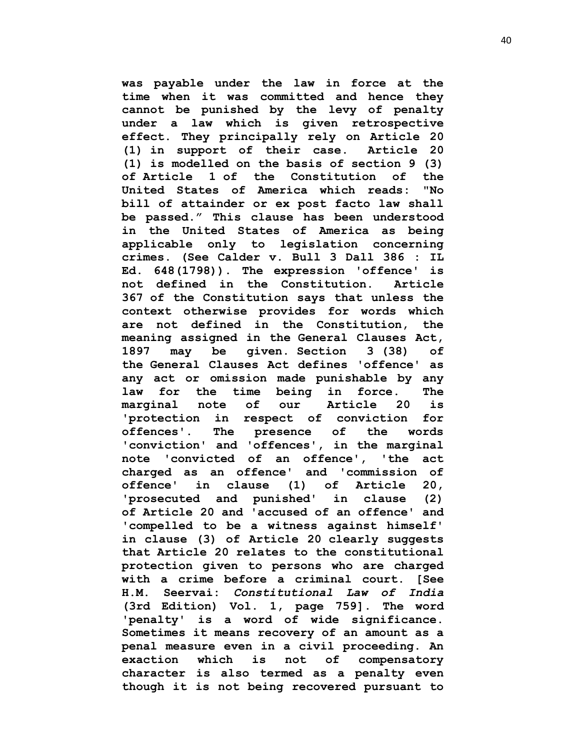**was payable under the law in force at the time when it was committed and hence they cannot be punished by the levy of penalty under a law which is given retrospective effect. They principally rely on [Article 20](https://indiankanoon.org/doc/1501707/)  [\(1\)](https://indiankanoon.org/doc/1501707/) in support of their case. [Article](https://indiankanoon.org/doc/1501707/) 20 [\(1\)](https://indiankanoon.org/doc/1501707/) is modelled on the basis of [section 9](https://indiankanoon.org/doc/1596533/) (3) of [Article 1](https://indiankanoon.org/doc/1406924/) of the Constitution of the United States of America which reads: "No bill of attainder or ex post facto law shall be passed." This clause has been understood in the United States of America as being applicable only to legislation concerning crimes. (See Calder v. Bull 3 Dall 386 : IL Ed. 648(1798)). The expression 'offence' is not defined in the Constitution. [Article](https://indiankanoon.org/doc/579323/)  [367](https://indiankanoon.org/doc/579323/) of the Constitution says that unless the context otherwise provides for words which are not defined in the Constitution, the meaning assigned in the [General Clauses Act,](https://indiankanoon.org/doc/905940/) 1897 may be given. [Section 3](https://indiankanoon.org/doc/230008/) (38) of the [General Clauses Act](https://indiankanoon.org/doc/905940/) defines 'offence' as any act or omission made punishable by any law for the time being in force. The marginal note of our [Article 20](https://indiankanoon.org/doc/655638/) is 'protection in respect of conviction for offences'. The presence of the words 'conviction' and 'offences', in the marginal note 'convicted of an offence', 'the act charged as an offence' and 'commission of offence' in clause (1) of [Article 20,](https://indiankanoon.org/doc/655638/) 'prosecuted and punished' in clause (2) of [Article 20](https://indiankanoon.org/doc/655638/) and 'accused of an offence' and 'compelled to be a witness against himself' in clause (3) of [Article 20](https://indiankanoon.org/doc/655638/) clearly suggests that [Article 20](https://indiankanoon.org/doc/655638/) relates to the constitutional protection given to persons who are charged with a crime before a criminal court. [See H.M. Seervai:** *Constitutional Law of India*  **(3rd Edition) Vol. 1, page 759]. The word 'penalty' is a word of wide significance. Sometimes it means recovery of an amount as a penal measure even in a civil proceeding. An exaction which is not of compensatory character is also termed as a penalty even though it is not being recovered pursuant to**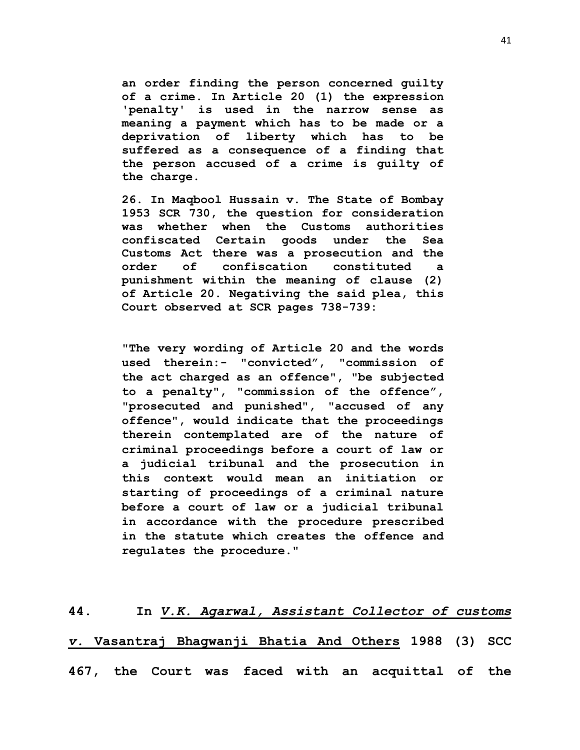**an order finding the person concerned guilty of a crime. In [Article 20 \(1\)](https://indiankanoon.org/doc/1501707/) the expression 'penalty' is used in the narrow sense as meaning a payment which has to be made or a deprivation of liberty which has to be suffered as a consequence of a finding that the person accused of a crime is guilty of the charge.**

**26. [In Maqbool Hussain v. The State of Bombay](https://indiankanoon.org/doc/1815080/)  1953 SCR 730, the question for consideration was whether when the Customs authorities confiscated Certain goods under the Sea Customs Act there was a prosecution and the order of confiscation constituted a punishment within the meaning of clause (2) of [Article 20.](https://indiankanoon.org/doc/655638/) Negativing the said plea, this Court observed at SCR pages 738-739:**

**"The very wording of [Article 20](https://indiankanoon.org/doc/655638/) and the words used therein:- "convicted", "commission of the act charged as an offence", "be subjected to a penalty", "commission of the offence", "prosecuted and punished", "accused of any offence", would indicate that the proceedings therein contemplated are of the nature of criminal proceedings before a court of law or a judicial tribunal and the prosecution in this context would mean an initiation or starting of proceedings of a criminal nature before a court of law or a judicial tribunal in accordance with the procedure prescribed in the statute which creates the offence and regulates the procedure."**

**44. In** *V.K. Agarwal, Assistant Collector of customs v.* **Vasantraj Bhagwanji Bhatia And Others 1988 (3) SCC 467, the Court was faced with an acquittal of the**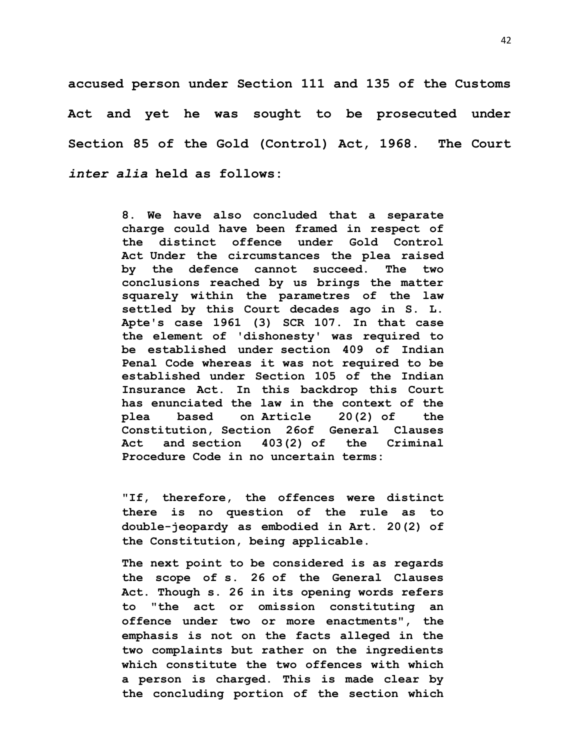**accused person under Section 111 and 135 of the Customs Act and yet he was sought to be prosecuted under Section 85 of the Gold (Control) Act, 1968. The Court**  *inter alia* **held as follows:**

> **8. We have also concluded that a separate charge could have been framed in respect of the distinct offence under Gold Control Act Under the circumstances the plea raised by the defence cannot succeed. The two conclusions reached by us brings the matter squarely within the parametres of the law settled by this Court decades ago in S. L. Apte's case 1961 (3) SCR 107. In that case the element of 'dishonesty' was required to be established under [section 409](https://indiankanoon.org/doc/1326844/) of Indian Penal Code whereas it was not required to be established under Section 105 of the Indian Insurance Act. In this backdrop this Court has enunciated the law in the context of the plea based on [Article 20\(2\)](https://indiankanoon.org/doc/17858/) of the Constitution, [Section 26o](https://indiankanoon.org/doc/87754/)f General Clauses Act and [section 403\(2\)](https://indiankanoon.org/doc/803870/) of the Criminal Procedure Code in no uncertain terms:**

> **"If, therefore, the offences were distinct there is no question of the rule as to double-jeopardy as embodied in [Art. 20\(2\)](https://indiankanoon.org/doc/17858/) of the Constitution, being applicable.**

> **The next point to be considered is as regards the scope of [s. 26](https://indiankanoon.org/doc/87754/) of the General Clauses Act. Though [s. 26](https://indiankanoon.org/doc/1245578/) in its opening words refers to "the act or omission constituting an offence under two or more enactments", the emphasis is not on the facts alleged in the two complaints but rather on the ingredients which constitute the two offences with which a person is charged. This is made clear by the concluding portion of the section which**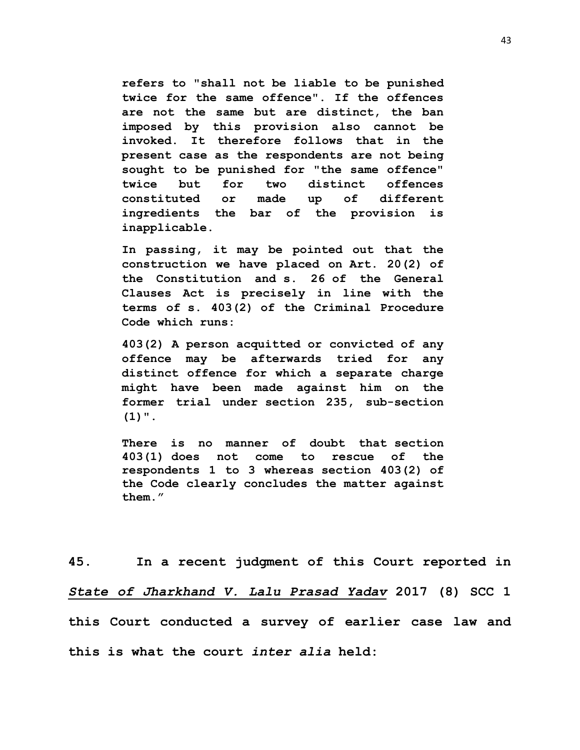**refers to "shall not be liable to be punished twice for the same offence". If the offences are not the same but are distinct, the ban imposed by this provision also cannot be invoked. It therefore follows that in the present case as the respondents are not being sought to be punished for "the same offence" twice but for two distinct offences constituted or made up of different ingredients the bar of the provision is inapplicable.**

**In passing, it may be pointed out that the construction we have placed on [Art. 20\(2\)](https://indiankanoon.org/doc/17858/) of the Constitution and [s. 26](https://indiankanoon.org/doc/87754/) of the General Clauses Act is precisely in line with the terms of [s. 403\(2\)](https://indiankanoon.org/doc/803870/) of the Criminal Procedure Code which runs:**

**403(2) A person acquitted or convicted of any offence may be afterwards tried for any distinct offence for which a separate charge might have been made against him on the former trial under [section 235,](https://indiankanoon.org/doc/1059693/) sub-section (1)".**

**There is no manner of doubt that [section](https://indiankanoon.org/doc/1059693/)  [403\(1\)](https://indiankanoon.org/doc/1059693/) does not come to rescue of the respondents 1 to 3 whereas [section 403\(2\)](https://indiankanoon.org/doc/803870/) of the Code clearly concludes the matter against them."**

**45. In a recent judgment of this Court reported in**  *State of Jharkhand V. Lalu Prasad Yadav* **2017 (8) SCC 1 this Court conducted a survey of earlier case law and this is what the court** *inter alia* **held:**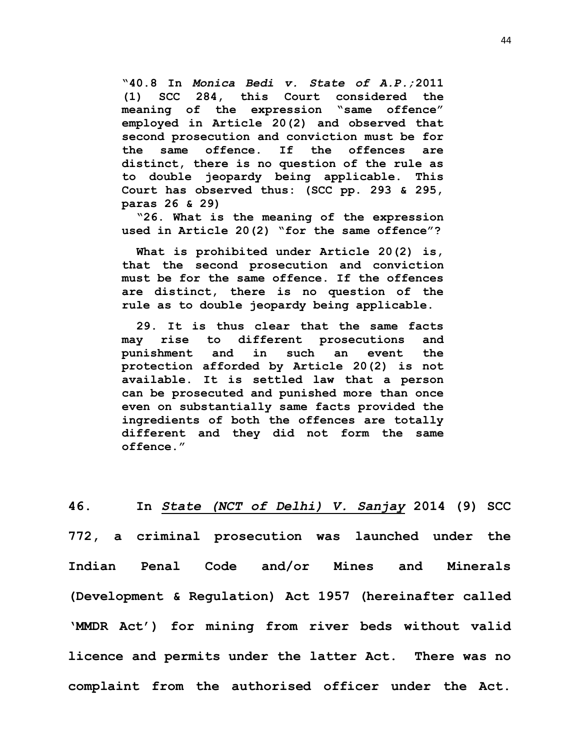**"40.8 In** *Monica Bedi v. State of A.P.;***2011 (1) SCC 284, this Court considered the meaning of the expression "same offence" employed in Article 20(2) and observed that second prosecution and conviction must be for the same offence. If the offences are distinct, there is no question of the rule as to double jeopardy being applicable. This Court has observed thus: (SCC pp. 293 & 295, paras 26 & 29)**

**"26. What is the meaning of the expression used in Article 20(2) "for the same offence"?**

**What is prohibited under Article 20(2) is, that the second prosecution and conviction must be for the same offence. If the offences are distinct, there is no question of the rule as to double jeopardy being applicable.** 

**29. It is thus clear that the same facts may rise to different prosecutions and punishment and in such an event the protection afforded by Article 20(2) is not available. It is settled law that a person can be prosecuted and punished more than once even on substantially same facts provided the ingredients of both the offences are totally different and they did not form the same offence."**

**46. In** *State (NCT of Delhi) V. Sanjay* **2014 (9) SCC 772, a criminal prosecution was launched under the Indian Penal Code and/or Mines and Minerals (Development & Regulation) Act 1957 (hereinafter called 'MMDR Act') for mining from river beds without valid licence and permits under the latter Act. There was no complaint from the authorised officer under the Act.**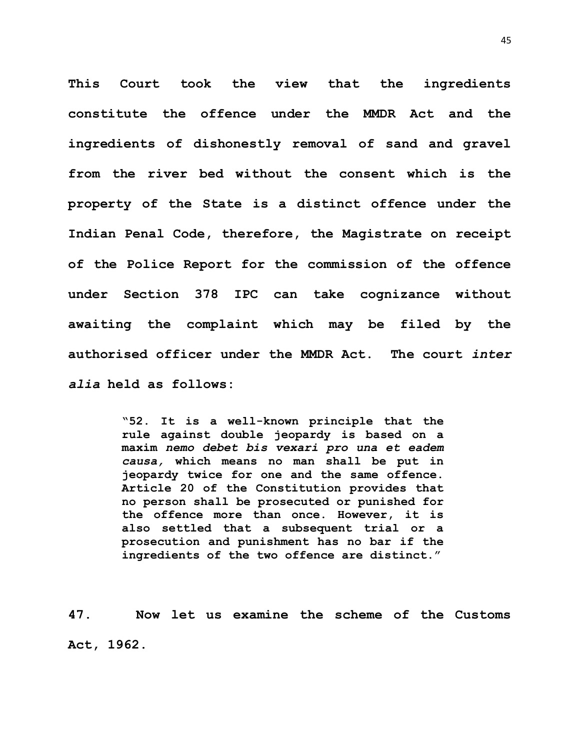**This Court took the view that the ingredients constitute the offence under the MMDR Act and the ingredients of dishonestly removal of sand and gravel from the river bed without the consent which is the property of the State is a distinct offence under the Indian Penal Code, therefore, the Magistrate on receipt of the Police Report for the commission of the offence under Section 378 IPC can take cognizance without awaiting the complaint which may be filed by the authorised officer under the MMDR Act. The court** *inter alia* **held as follows:**

> **"52. It is a well-known principle that the rule against double jeopardy is based on a maxim** *nemo debet bis vexari pro una et eadem causa,* **which means no man shall be put in jeopardy twice for one and the same offence. Article 20 of the Constitution provides that no person shall be prosecuted or punished for the offence more than once. However, it is also settled that a subsequent trial or a prosecution and punishment has no bar if the ingredients of the two offence are distinct."**

**47. Now let us examine the scheme of the Customs Act, 1962.**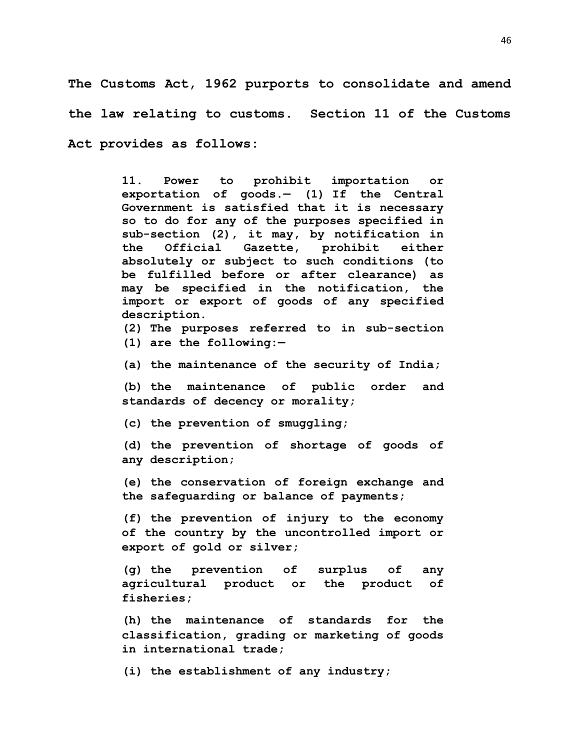**The Customs Act, 1962 purports to consolidate and amend the law relating to customs. Section 11 of the Customs Act provides as follows:**

> **11. Power to prohibit importation or exportation of goods.— [\(1\)](https://indiankanoon.org/doc/134470/) If the Central Government is satisfied that it is necessary so to do for any of the purposes specified in sub-section (2), it may, by notification in the Official Gazette, prohibit either absolutely or subject to such conditions (to be fulfilled before or after clearance) as may be specified in the notification, the import or export of goods of any specified description.**

> **[\(2\)](https://indiankanoon.org/doc/1690100/) The purposes referred to in sub-section (1) are the following:—**

**[\(a\)](https://indiankanoon.org/doc/1406264/) the maintenance of the security of India;**

**[\(b\)](https://indiankanoon.org/doc/82978/) the maintenance of public order and standards of decency or morality;**

**[\(c\)](https://indiankanoon.org/doc/1726246/) the prevention of smuggling;**

**[\(d\)](https://indiankanoon.org/doc/1627663/) the prevention of shortage of goods of any description;**

**[\(e\)](https://indiankanoon.org/doc/1378086/) the conservation of foreign exchange and the safeguarding or balance of payments;**

**[\(f\)](https://indiankanoon.org/doc/144502/) the prevention of injury to the economy of the country by the uncontrolled import or export of gold or silver;**

**[\(g\)](https://indiankanoon.org/doc/1652292/) the prevention of surplus of any agricultural product or the product of fisheries;**

**[\(h\)](https://indiankanoon.org/doc/1109352/) the maintenance of standards for the classification, grading or marketing of goods in international trade;**

**[\(i\)](https://indiankanoon.org/doc/559852/) the establishment of any industry;**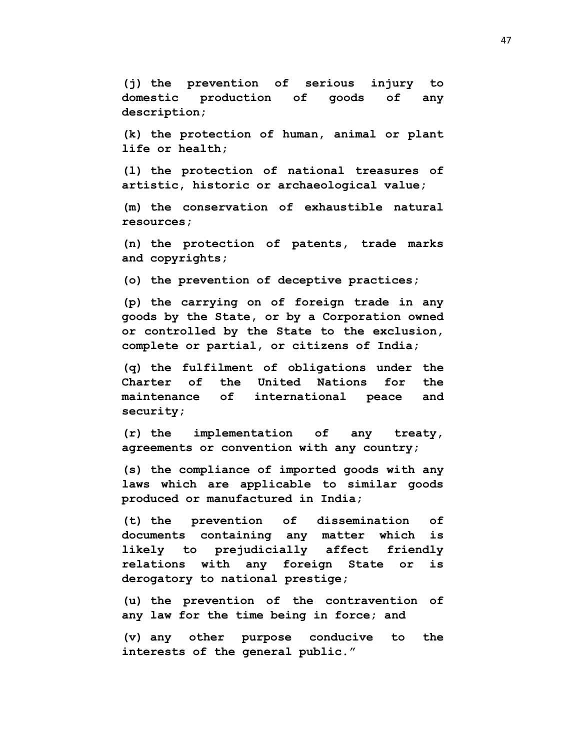**[\(j\)](https://indiankanoon.org/doc/755305/) the prevention of serious injury to domestic production of goods of any description;**

**[\(k\)](https://indiankanoon.org/doc/1092596/) the protection of human, animal or plant life or health;**

**[\(l\)](https://indiankanoon.org/doc/1165201/) the protection of national treasures of artistic, historic or archaeological value;**

**[\(m\)](https://indiankanoon.org/doc/1863690/) the conservation of exhaustible natural resources;**

**[\(n\)](https://indiankanoon.org/doc/567520/) the protection of patents, trade marks and copyrights;**

**[\(o\)](https://indiankanoon.org/doc/1105285/) the prevention of deceptive practices;**

**[\(p\)](https://indiankanoon.org/doc/182156/) the carrying on of foreign trade in any goods by the State, or by a Corporation owned or controlled by the State to the exclusion, complete or partial, or citizens of India;**

**[\(q\)](https://indiankanoon.org/doc/528254/) the fulfilment of obligations under the Charter of the United Nations for the maintenance of international peace and security;**

**[\(r\)](https://indiankanoon.org/doc/814462/) the implementation of any treaty, agreements or convention with any country;**

**[\(s\)](https://indiankanoon.org/doc/875609/) the compliance of imported goods with any laws which are applicable to similar goods produced or manufactured in India;**

**[\(t\)](https://indiankanoon.org/doc/173513/) the prevention of dissemination of documents containing any matter which is likely to prejudicially affect friendly relations with any foreign State or is derogatory to national prestige;**

**[\(u\)](https://indiankanoon.org/doc/1208464/) the prevention of the contravention of any law for the time being in force; and**

**[\(v\)](https://indiankanoon.org/doc/431045/) any other purpose conducive to the interests of the general public."**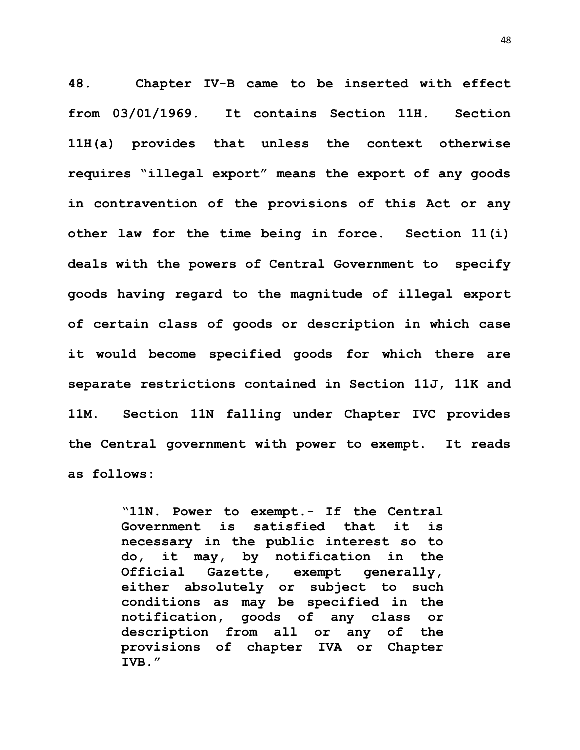**48. Chapter IV-B came to be inserted with effect from 03/01/1969. It contains Section 11H. Section 11H(a) provides that unless the context otherwise requires "illegal export" means the export of any goods in contravention of the provisions of this Act or any other law for the time being in force. Section 11(i) deals with the powers of Central Government to specify goods having regard to the magnitude of illegal export of certain class of goods or description in which case it would become specified goods for which there are separate restrictions contained in Section 11J, 11K and 11M. Section 11N falling under Chapter IVC provides the Central government with power to exempt. It reads as follows:**

> "**11N**. **Power to exempt**.- **If the Central Government is satisfied that it is necessary in the public interest so to do, it may, by notification in the Official Gazette, exempt generally, either absolutely or subject to such conditions as may be specified in the notification, goods of any class or description from all or any of the provisions of chapter IVA or Chapter IVB."**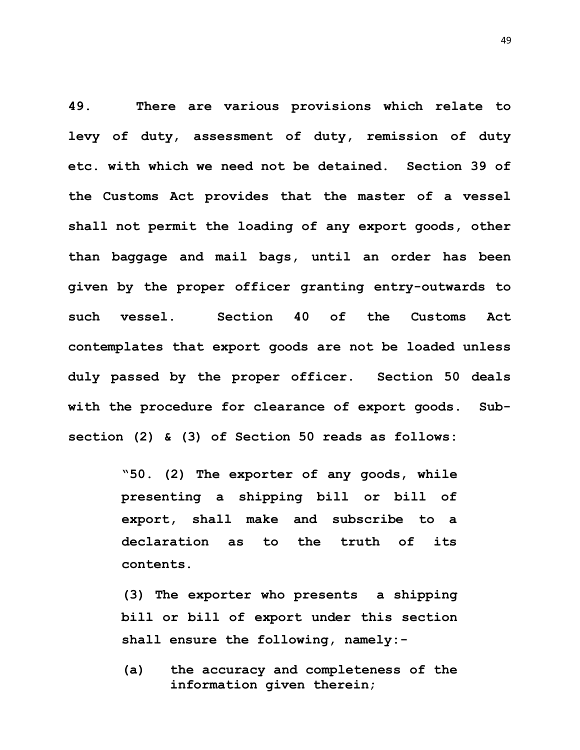**49. There are various provisions which relate to levy of duty, assessment of duty, remission of duty etc. with which we need not be detained. Section 39 of the Customs Act provides that the master of a vessel shall not permit the loading of any export goods, other than baggage and mail bags, until an order has been given by the proper officer granting entry-outwards to such vessel. Section 40 of the Customs Act contemplates that export goods are not be loaded unless duly passed by the proper officer. Section 50 deals with the procedure for clearance of export goods. Subsection (2) & (3) of Section 50 reads as follows:**

> **"50. (2) The exporter of any goods, while presenting a shipping bill or bill of export, shall make and subscribe to a declaration as to the truth of its contents.**

> **(3) The exporter who presents a shipping bill or bill of export under this section shall ensure the following, namely:-**

**(a) the accuracy and completeness of the information given therein;**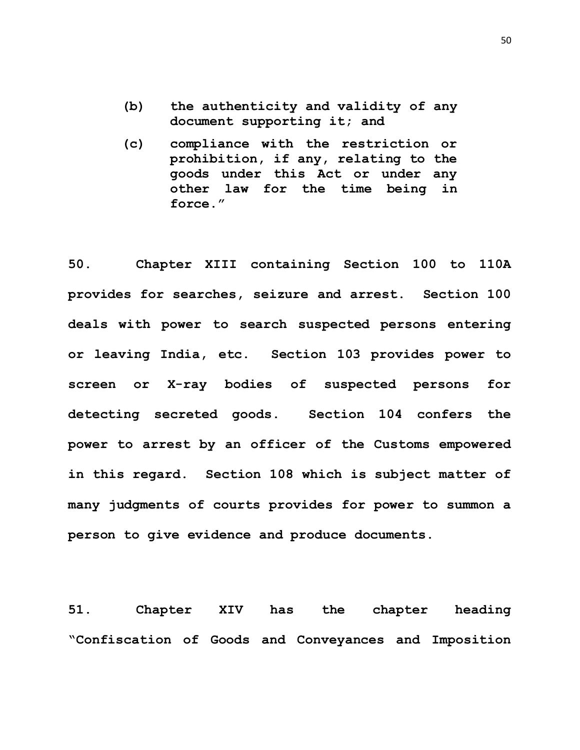- **(b) the authenticity and validity of any document supporting it; and**
- **(c) compliance with the restriction or prohibition, if any, relating to the goods under this Act or under any other law for the time being in force."**

**50. Chapter XIII containing Section 100 to 110A provides for searches, seizure and arrest. Section 100 deals with power to search suspected persons entering or leaving India, etc. Section 103 provides power to screen or X-ray bodies of suspected persons for detecting secreted goods. Section 104 confers the power to arrest by an officer of the Customs empowered in this regard. Section 108 which is subject matter of many judgments of courts provides for power to summon a person to give evidence and produce documents.**

**51. Chapter XIV has the chapter heading "Confiscation of Goods and Conveyances and Imposition** 

50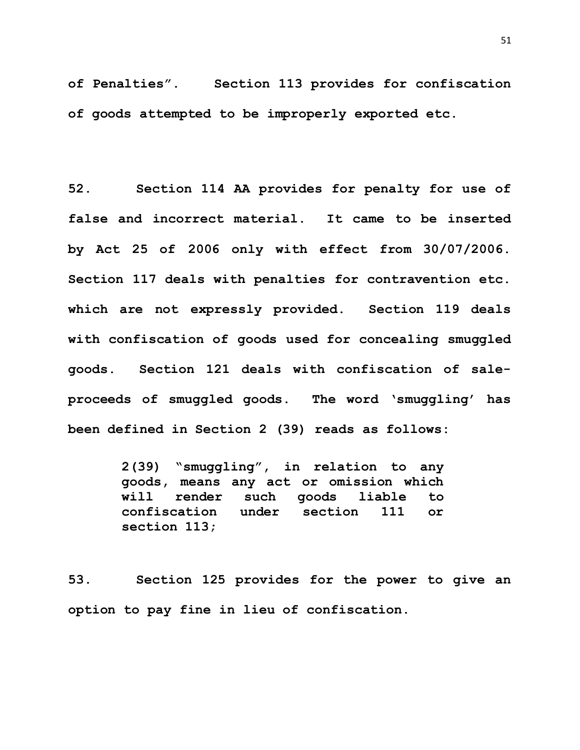**of Penalties". Section 113 provides for confiscation of goods attempted to be improperly exported etc.**

**52. Section 114 AA provides for penalty for use of false and incorrect material. It came to be inserted by Act 25 of 2006 only with effect from 30/07/2006. Section 117 deals with penalties for contravention etc. which are not expressly provided. Section 119 deals with confiscation of goods used for concealing smuggled goods. Section 121 deals with confiscation of saleproceeds of smuggled goods. The word 'smuggling' has been defined in Section 2 (39) reads as follows:**

> **2(39) "smuggling", in relation to any goods, means any act or omission which will render such goods liable to confiscation under section 111 or section 113;**

**53. Section 125 provides for the power to give an option to pay fine in lieu of confiscation.**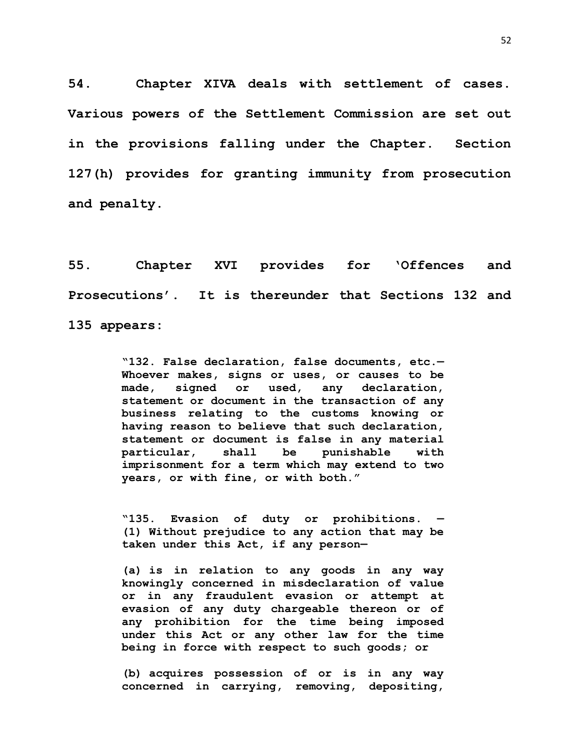**54. Chapter XIVA deals with settlement of cases. Various powers of the Settlement Commission are set out in the provisions falling under the Chapter. Section 127(h) provides for granting immunity from prosecution and penalty.** 

**55. Chapter XVI provides for 'Offences and Prosecutions'. It is thereunder that Sections 132 and 135 appears:**

> **"132. False declaration, false documents, etc.— Whoever makes, signs or uses, or causes to be made, signed or used, any declaration, statement or document in the transaction of any business relating to the customs knowing or having reason to believe that such declaration, statement or document is false in any material particular, shall be punishable with imprisonment for a term which may extend to two years, or with fine, or with both."**

> **"135. Evasion of duty or prohibitions. — [\(1\)](https://indiankanoon.org/doc/352962/) Without prejudice to any action that may be taken under this Act, if any person—**

> **[\(a\)](https://indiankanoon.org/doc/167762/) is in relation to any goods in any way knowingly concerned in misdeclaration of value or in any fraudulent evasion or attempt at evasion of any duty chargeable thereon or of any prohibition for the time being imposed under this Act or any other law for the time being in force with respect to such goods; or**

> **[\(b\)](https://indiankanoon.org/doc/1084136/) acquires possession of or is in any way concerned in carrying, removing, depositing,**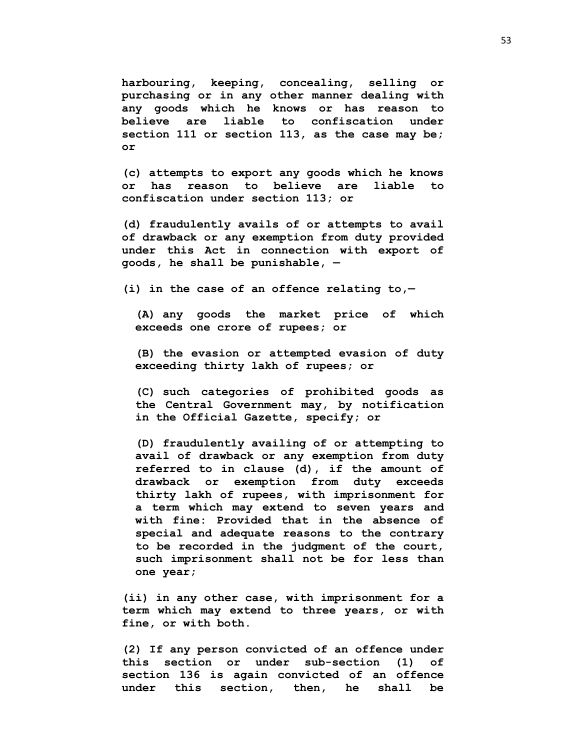**harbouring, keeping, concealing, selling or purchasing or in any other manner dealing with any goods which he knows or has reason to believe are liable to confiscation under section 111 or section 113, as the case may be; or**

**[\(c\)](https://indiankanoon.org/doc/168368424/) attempts to export any goods which he knows or has reason to believe are liable to confiscation under section 113; or**

**[\(d\)](https://indiankanoon.org/doc/106643950/) fraudulently avails of or attempts to avail of drawback or any exemption from duty provided under this Act in connection with export of goods, he shall be punishable, —**

**[\(i\)](https://indiankanoon.org/doc/170219983/) in the case of an offence relating to,—**

**[\(A\)](https://indiankanoon.org/doc/193028599/) any goods the market price of which exceeds one crore of rupees; or**

**[\(B\)](https://indiankanoon.org/doc/96195641/) the evasion or attempted evasion of duty exceeding thirty lakh of rupees; or**

**[\(C\)](https://indiankanoon.org/doc/26963774/) such categories of prohibited goods as the Central Government may, by notification in the Official Gazette, specify; or**

**[\(D\)](https://indiankanoon.org/doc/14808915/) fraudulently availing of or attempting to avail of drawback or any exemption from duty referred to in clause (d), if the amount of drawback or exemption from duty exceeds thirty lakh of rupees, with imprisonment for a term which may extend to seven years and with fine: Provided that in the absence of special and adequate reasons to the contrary to be recorded in the judgment of the court, such imprisonment shall not be for less than one year;**

**[\(ii\)](https://indiankanoon.org/doc/157475801/) in any other case, with imprisonment for a term which may extend to three years, or with fine, or with both.**

**(2) If any person convicted of an offence under this section or under sub-section (1) of section 136 is again convicted of an offence under this section, then, he shall be**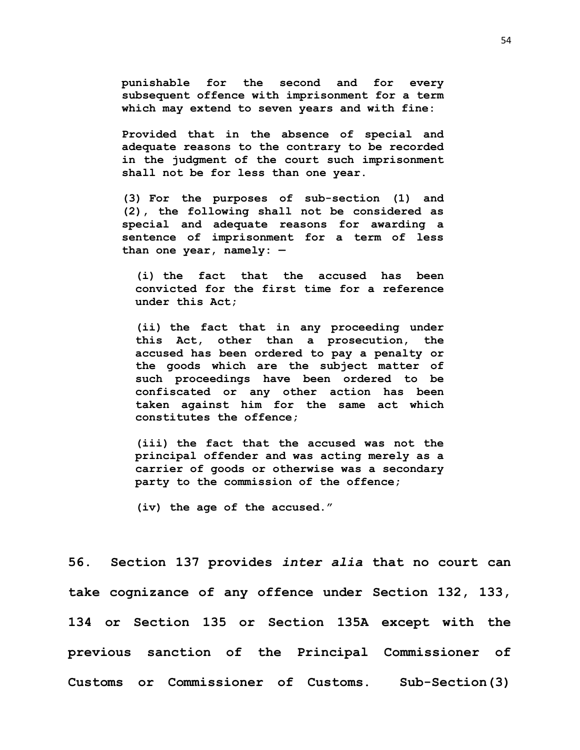**punishable for the second and for every subsequent offence with imprisonment for a term which may extend to seven years and with fine:** 

**Provided that in the absence of special and adequate reasons to the contrary to be recorded in the judgment of the court such imprisonment shall not be for less than one year.**

**[\(3\)](https://indiankanoon.org/doc/56033/) For the purposes of sub-section (1) and (2), the following shall not be considered as special and adequate reasons for awarding a sentence of imprisonment for a term of less than one year, namely: —**

**[\(i\)](https://indiankanoon.org/doc/424913/) the fact that the accused has been convicted for the first time for a reference under this Act;**

**[\(ii\)](https://indiankanoon.org/doc/874730/) the fact that in any proceeding under this Act, other than a prosecution, the accused has been ordered to pay a penalty or the goods which are the subject matter of such proceedings have been ordered to be confiscated or any other action has been taken against him for the same act which constitutes the offence;**

**[\(iii\)](https://indiankanoon.org/doc/427922/) the fact that the accused was not the principal offender and was acting merely as a carrier of goods or otherwise was a secondary party to the commission of the offence;**

**[\(iv\)](https://indiankanoon.org/doc/132171975/) the age of the accused."**

**56. Section 137 provides** *inter alia* **that no court can take cognizance of any offence under Section 132, 133, 134 or Section 135 or Section 135A except with the previous sanction of the Principal Commissioner of Customs or Commissioner of Customs. Sub-Section(3)**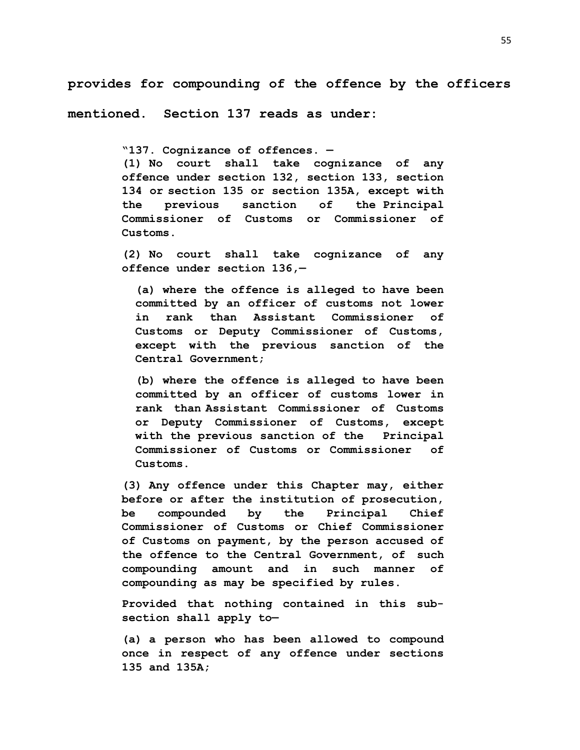**provides for compounding of the offence by the officers** 

**mentioned. Section 137 reads as under:**

**"137. Cognizance of offences. —**

**[\(1\)](https://indiankanoon.org/doc/163233/) No court shall take cognizance of any offence under section 132, section 133, section 134 or section 135 or section 135A, except with the previous sanction of the Principal Commissioner of Customs or Commissioner of Customs.**

**[\(2\)](https://indiankanoon.org/doc/875535/) No court shall take cognizance of any offence under section 136,—**

**[\(a\)](https://indiankanoon.org/doc/13529/) where the offence is alleged to have been committed by an officer of customs not lower in rank than Assistant Commissioner of Customs or Deputy Commissioner of Customs, except with the previous sanction of the Central Government;**

**[\(b\)](https://indiankanoon.org/doc/1943849/) where the offence is alleged to have been committed by an officer of customs lower in rank than Assistant Commissioner of Customs or Deputy Commissioner of Customs, except with the previous sanction of the Principal Commissioner of Customs or Commissioner of Customs.**

**[\(3\)](https://indiankanoon.org/doc/103172861/) Any offence under this Chapter may, either before or after the institution of prosecution, be compounded by the Principal Chief Commissioner of Customs or Chief Commissioner of Customs on payment, by the person accused of the offence to the Central Government, of such compounding amount and in such manner of compounding as may be specified by rules.**

**Provided that nothing contained in this subsection shall apply to—**

**[\(a\)](https://indiankanoon.org/doc/156163064/) a person who has been allowed to compound once in respect of any offence under sections 135 and 135A;**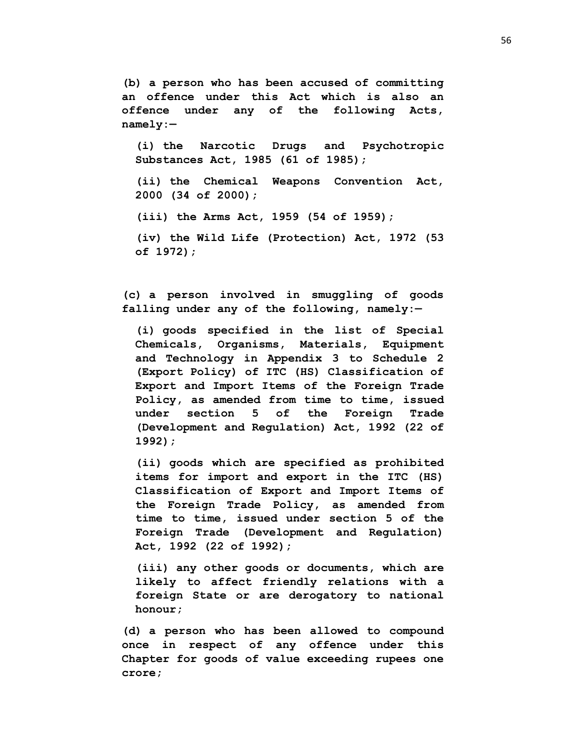**[\(b\)](https://indiankanoon.org/doc/24726907/) a person who has been accused of committing an offence under this Act which is also an offence under any of the following Acts, namely:—**

**[\(i\)](https://indiankanoon.org/doc/92013048/) the Narcotic Drugs and Psychotropic Substances Act, 1985 (61 of 1985);**

**[\(ii\)](https://indiankanoon.org/doc/166564772/) the Chemical Weapons Convention Act, 2000 (34 of 2000);**

**[\(iii\)](https://indiankanoon.org/doc/9049566/) the Arms Act, 1959 (54 of 1959);**

**[\(iv\)](https://indiankanoon.org/doc/93561534/) the Wild Life (Protection) Act, 1972 (53 of 1972);**

**[\(c\)](https://indiankanoon.org/doc/19910258/) a person involved in smuggling of goods falling under any of the following, namely:—**

**[\(i\)](https://indiankanoon.org/doc/192579671/) goods specified in the list of Special Chemicals, Organisms, Materials, Equipment and Technology in Appendix 3 to Schedule 2 (Export Policy) of ITC (HS) Classification of Export and Import Items of the Foreign Trade Policy, as amended from time to time, issued under section 5 of the Foreign Trade (Development and Regulation) Act, 1992 (22 of 1992);**

**[\(ii\)](https://indiankanoon.org/doc/164117454/) goods which are specified as prohibited items for import and export in the ITC (HS) Classification of Export and Import Items of the Foreign Trade Policy, as amended from time to time, issued under section 5 of the Foreign Trade (Development and Regulation) Act, 1992 (22 of 1992);**

**[\(iii\)](https://indiankanoon.org/doc/124280264/) any other goods or documents, which are likely to affect friendly relations with a foreign State or are derogatory to national honour;**

**[\(d\)](https://indiankanoon.org/doc/29285984/) a person who has been allowed to compound once in respect of any offence under this Chapter for goods of value exceeding rupees one crore;**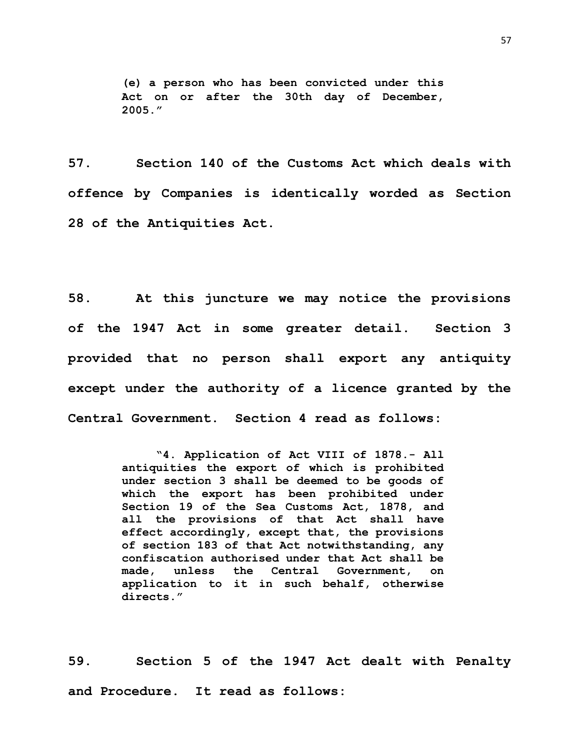**[\(e\)](https://indiankanoon.org/doc/58596102/) a person who has been convicted under this Act on or after the 30th day of December, 2005."**

**57. Section 140 of the Customs Act which deals with offence by Companies is identically worded as Section 28 of the Antiquities Act.**

**58. At this juncture we may notice the provisions of the 1947 Act in some greater detail. Section 3 provided that no person shall export any antiquity except under the authority of a licence granted by the Central Government. Section 4 read as follows:**

> **"4. Application of Act VIII of 1878.- All antiquities the export of which is prohibited under section 3 shall be deemed to be goods of which the export has been prohibited under Section 19 of the Sea Customs Act, 1878, and all the provisions of that Act shall have effect accordingly, except that, the provisions of section 183 of that Act notwithstanding, any confiscation authorised under that Act shall be made, unless the Central Government, on application to it in such behalf, otherwise directs."**

**59. Section 5 of the 1947 Act dealt with Penalty and Procedure. It read as follows:**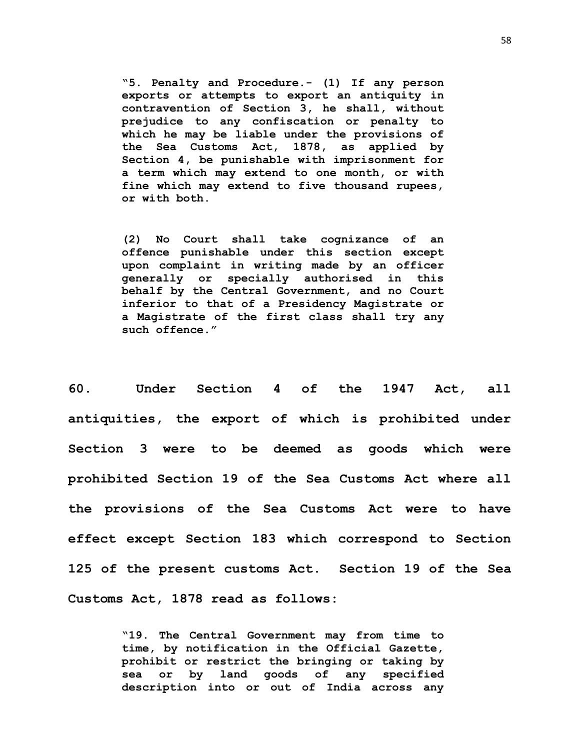**"5. Penalty and Procedure.- (1) If any person exports or attempts to export an antiquity in contravention of Section 3, he shall, without prejudice to any confiscation or penalty to which he may be liable under the provisions of the Sea Customs Act, 1878, as applied by Section 4, be punishable with imprisonment for a term which may extend to one month, or with fine which may extend to five thousand rupees, or with both.**

**(2) No Court shall take cognizance of an offence punishable under this section except upon complaint in writing made by an officer generally or specially authorised in this behalf by the Central Government, and no Court inferior to that of a Presidency Magistrate or a Magistrate of the first class shall try any such offence."**

**60. Under Section 4 of the 1947 Act, all antiquities, the export of which is prohibited under Section 3 were to be deemed as goods which were prohibited Section 19 of the Sea Customs Act where all the provisions of the Sea Customs Act were to have effect except Section 183 which correspond to Section 125 of the present customs Act. Section 19 of the Sea Customs Act, 1878 read as follows:**

> **"19. The Central Government may from time to time, by notification in the Official Gazette, prohibit or restrict the bringing or taking by sea or by land goods of any specified description into or out of India across any**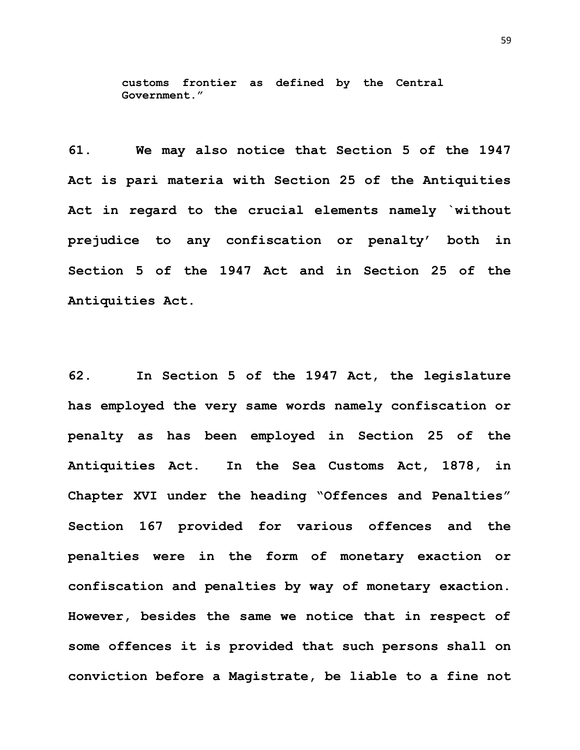**customs frontier as defined by the Central Government."**

**61. We may also notice that Section 5 of the 1947 Act is pari materia with Section 25 of the Antiquities Act in regard to the crucial elements namely `without prejudice to any confiscation or penalty' both in Section 5 of the 1947 Act and in Section 25 of the Antiquities Act.** 

**62. In Section 5 of the 1947 Act, the legislature has employed the very same words namely confiscation or penalty as has been employed in Section 25 of the Antiquities Act. In the Sea Customs Act, 1878, in Chapter XVI under the heading "Offences and Penalties" Section 167 provided for various offences and the penalties were in the form of monetary exaction or confiscation and penalties by way of monetary exaction. However, besides the same we notice that in respect of some offences it is provided that such persons shall on conviction before a Magistrate, be liable to a fine not**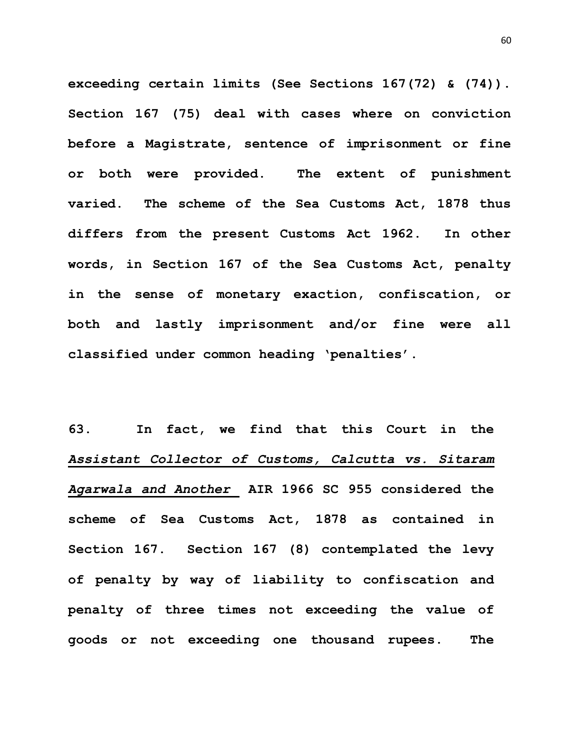**exceeding certain limits (See Sections 167(72) & (74)). Section 167 (75) deal with cases where on conviction before a Magistrate, sentence of imprisonment or fine or both were provided. The extent of punishment varied. The scheme of the Sea Customs Act, 1878 thus differs from the present Customs Act 1962. In other words, in Section 167 of the Sea Customs Act, penalty in the sense of monetary exaction, confiscation, or both and lastly imprisonment and/or fine were all classified under common heading 'penalties'.**

**63. In fact, we find that this Court in the**  *Assistant Collector of Customs, Calcutta vs. Sitaram Agarwala and Another* **AIR 1966 SC 955 considered the scheme of Sea Customs Act, 1878 as contained in Section 167. Section 167 (8) contemplated the levy of penalty by way of liability to confiscation and penalty of three times not exceeding the value of goods or not exceeding one thousand rupees. The**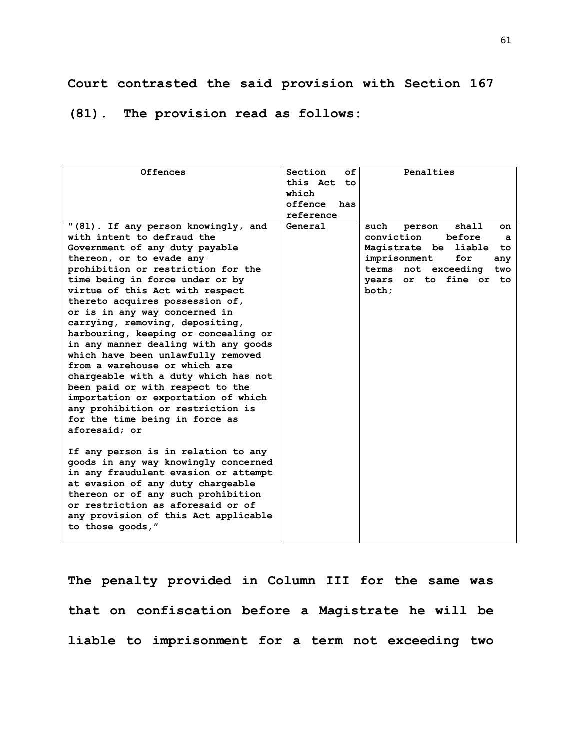## **Court contrasted the said provision with Section 167**

## **(81). The provision read as follows:**

| <b>Offences</b>                      | Section<br>оf   | Penalties                      |
|--------------------------------------|-----------------|--------------------------------|
|                                      | this Act<br>to. |                                |
|                                      | which           |                                |
|                                      | offence<br>has  |                                |
|                                      | reference       |                                |
| "(81). If any person knowingly, and  | General         | shall<br>such<br>person<br>on. |
| with intent to defraud the           |                 | before<br>conviction<br>a      |
| Government of any duty payable       |                 | Magistrate be liable<br>to.    |
| thereon, or to evade any             |                 | imprisonment<br>for<br>any     |
| prohibition or restriction for the   |                 | terms not exceeding<br>two     |
| time being in force under or by      |                 | years or to fine or<br>to.     |
| virtue of this Act with respect      |                 | both:                          |
| thereto acquires possession of,      |                 |                                |
| or is in any way concerned in        |                 |                                |
| carrying, removing, depositing,      |                 |                                |
| harbouring, keeping or concealing or |                 |                                |
| in any manner dealing with any goods |                 |                                |
| which have been unlawfully removed   |                 |                                |
| from a warehouse or which are        |                 |                                |
| chargeable with a duty which has not |                 |                                |
| been paid or with respect to the     |                 |                                |
| importation or exportation of which  |                 |                                |
| any prohibition or restriction is    |                 |                                |
| for the time being in force as       |                 |                                |
| aforesaid; or                        |                 |                                |
|                                      |                 |                                |
| If any person is in relation to any  |                 |                                |
| goods in any way knowingly concerned |                 |                                |
| in any fraudulent evasion or attempt |                 |                                |
| at evasion of any duty chargeable    |                 |                                |
| thereon or of any such prohibition   |                 |                                |
| or restriction as aforesaid or of    |                 |                                |
| any provision of this Act applicable |                 |                                |
| to those goods,"                     |                 |                                |
|                                      |                 |                                |

**The penalty provided in Column III for the same was that on confiscation before a Magistrate he will be liable to imprisonment for a term not exceeding two**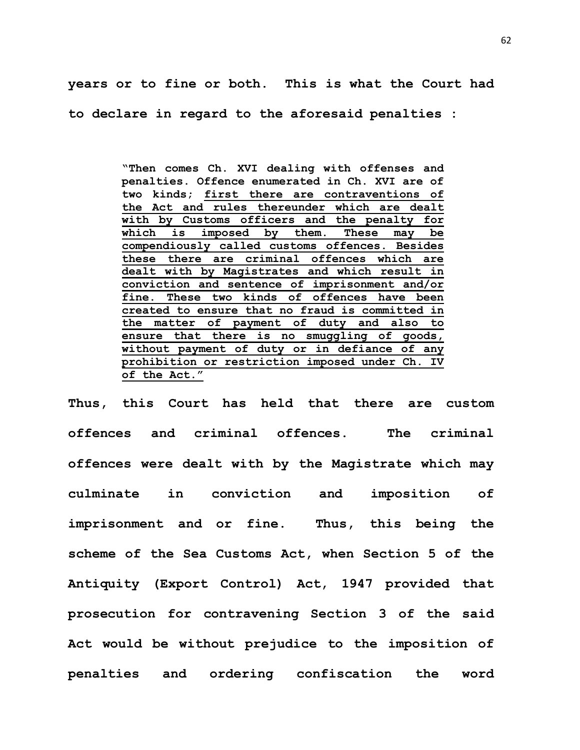**years or to fine or both. This is what the Court had to declare in regard to the aforesaid penalties :**

> **"Then comes Ch. XVI dealing with offenses and penalties. Offence enumerated in Ch. XVI are of two kinds; first there are contraventions of the Act and rules thereunder which are dealt with by Customs officers and the penalty for which is imposed by them. These may be compendiously called customs offences. Besides these there are criminal offences which are dealt with by Magistrates and which result in conviction and sentence of imprisonment and/or fine. These two kinds of offences have been created to ensure that no fraud is committed in the matter of payment of duty and also to ensure that there is no smuggling of goods, without payment of duty or in defiance of any prohibition or restriction imposed under Ch. IV of the Act."**

**Thus, this Court has held that there are custom offences and criminal offences. The criminal offences were dealt with by the Magistrate which may culminate in conviction and imposition of imprisonment and or fine. Thus, this being the scheme of the Sea Customs Act, when Section 5 of the Antiquity (Export Control) Act, 1947 provided that prosecution for contravening Section 3 of the said Act would be without prejudice to the imposition of penalties and ordering confiscation the word**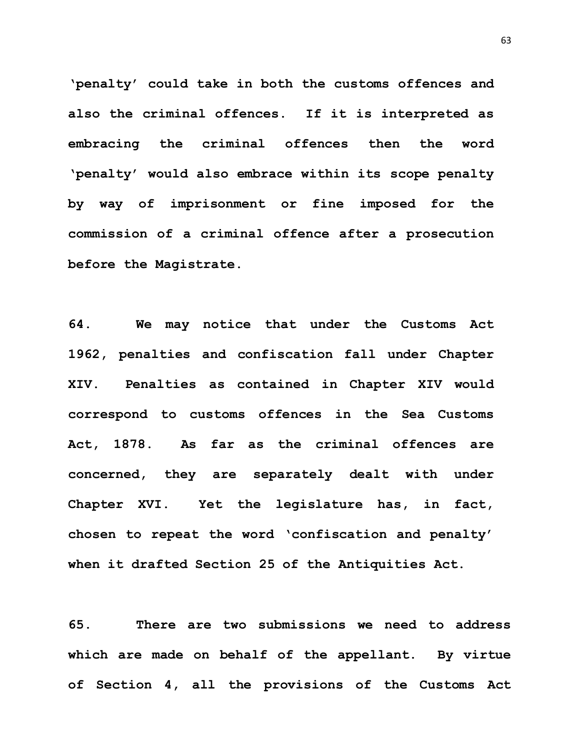**'penalty' could take in both the customs offences and also the criminal offences. If it is interpreted as embracing the criminal offences then the word 'penalty' would also embrace within its scope penalty by way of imprisonment or fine imposed for the commission of a criminal offence after a prosecution before the Magistrate.**

**64. We may notice that under the Customs Act 1962, penalties and confiscation fall under Chapter XIV. Penalties as contained in Chapter XIV would correspond to customs offences in the Sea Customs Act, 1878. As far as the criminal offences are concerned, they are separately dealt with under Chapter XVI. Yet the legislature has, in fact, chosen to repeat the word 'confiscation and penalty' when it drafted Section 25 of the Antiquities Act.** 

**65. There are two submissions we need to address which are made on behalf of the appellant. By virtue of Section 4, all the provisions of the Customs Act**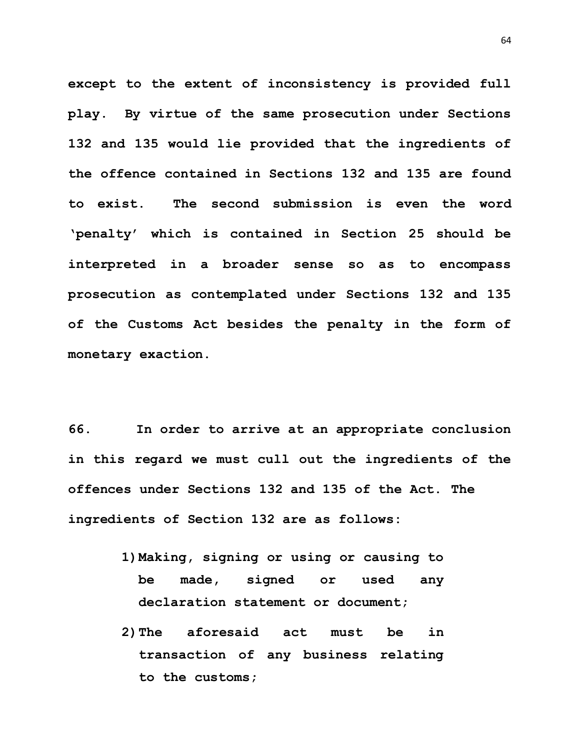**except to the extent of inconsistency is provided full play. By virtue of the same prosecution under Sections 132 and 135 would lie provided that the ingredients of the offence contained in Sections 132 and 135 are found to exist. The second submission is even the word 'penalty' which is contained in Section 25 should be interpreted in a broader sense so as to encompass prosecution as contemplated under Sections 132 and 135 of the Customs Act besides the penalty in the form of monetary exaction.**

**66. In order to arrive at an appropriate conclusion in this regard we must cull out the ingredients of the offences under Sections 132 and 135 of the Act. The ingredients of Section 132 are as follows:**

- **1)Making, signing or using or causing to be made, signed or used any declaration statement or document;**
- **2)The aforesaid act must be in transaction of any business relating to the customs;**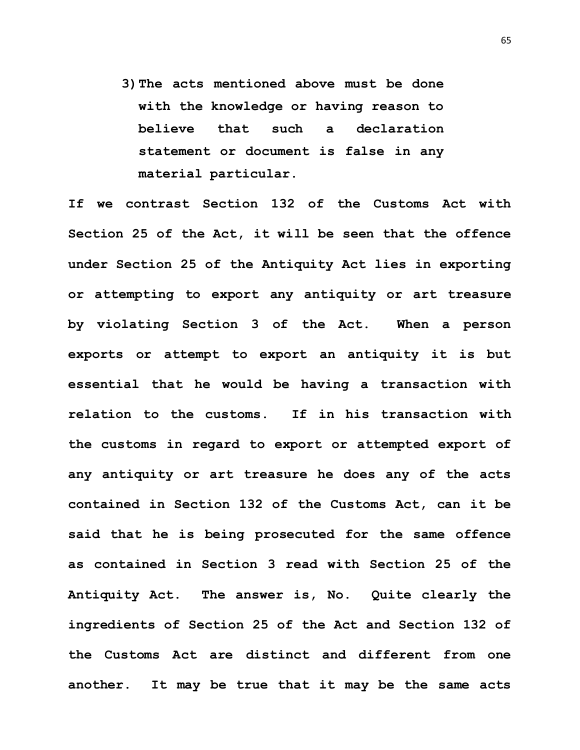**3)The acts mentioned above must be done with the knowledge or having reason to believe that such a declaration statement or document is false in any material particular.**

**If we contrast Section 132 of the Customs Act with Section 25 of the Act, it will be seen that the offence under Section 25 of the Antiquity Act lies in exporting or attempting to export any antiquity or art treasure by violating Section 3 of the Act. When a person exports or attempt to export an antiquity it is but essential that he would be having a transaction with relation to the customs. If in his transaction with the customs in regard to export or attempted export of any antiquity or art treasure he does any of the acts contained in Section 132 of the Customs Act, can it be said that he is being prosecuted for the same offence as contained in Section 3 read with Section 25 of the Antiquity Act. The answer is, No. Quite clearly the ingredients of Section 25 of the Act and Section 132 of the Customs Act are distinct and different from one another. It may be true that it may be the same acts**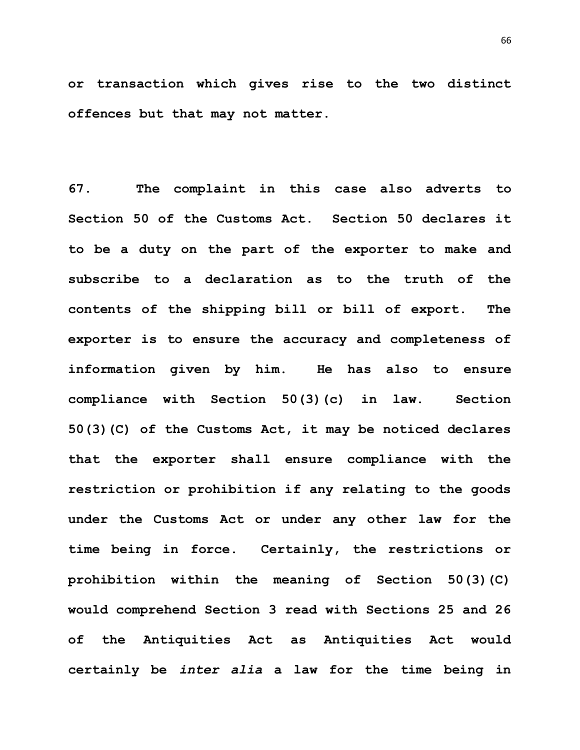**or transaction which gives rise to the two distinct offences but that may not matter.**

**67. The complaint in this case also adverts to Section 50 of the Customs Act. Section 50 declares it to be a duty on the part of the exporter to make and subscribe to a declaration as to the truth of the contents of the shipping bill or bill of export. The exporter is to ensure the accuracy and completeness of information given by him. He has also to ensure compliance with Section 50(3)(c) in law. Section 50(3)(C) of the Customs Act, it may be noticed declares that the exporter shall ensure compliance with the restriction or prohibition if any relating to the goods under the Customs Act or under any other law for the time being in force. Certainly, the restrictions or prohibition within the meaning of Section 50(3)(C) would comprehend Section 3 read with Sections 25 and 26 of the Antiquities Act as Antiquities Act would certainly be** *inter alia* **a law for the time being in**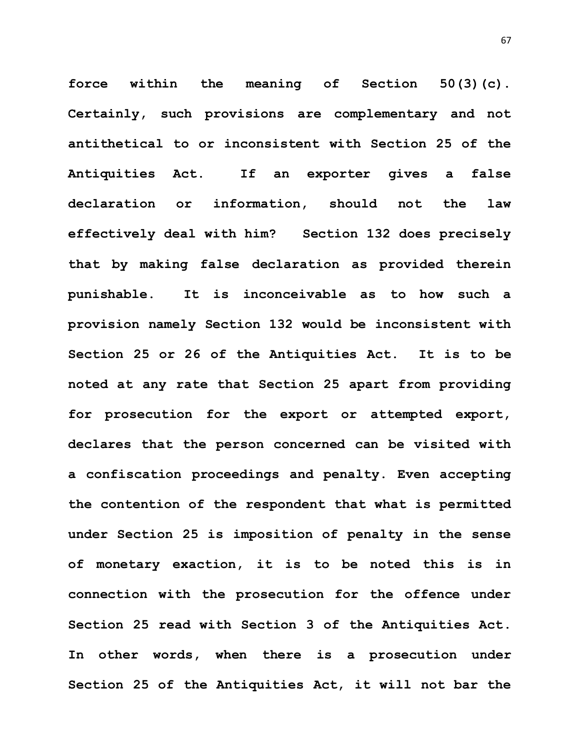**force within the meaning of Section 50(3)(c). Certainly, such provisions are complementary and not antithetical to or inconsistent with Section 25 of the Antiquities Act. If an exporter gives a false declaration or information, should not the law effectively deal with him? Section 132 does precisely that by making false declaration as provided therein punishable. It is inconceivable as to how such a provision namely Section 132 would be inconsistent with Section 25 or 26 of the Antiquities Act. It is to be noted at any rate that Section 25 apart from providing for prosecution for the export or attempted export, declares that the person concerned can be visited with a confiscation proceedings and penalty. Even accepting the contention of the respondent that what is permitted under Section 25 is imposition of penalty in the sense of monetary exaction, it is to be noted this is in connection with the prosecution for the offence under Section 25 read with Section 3 of the Antiquities Act. In other words, when there is a prosecution under Section 25 of the Antiquities Act, it will not bar the** 

67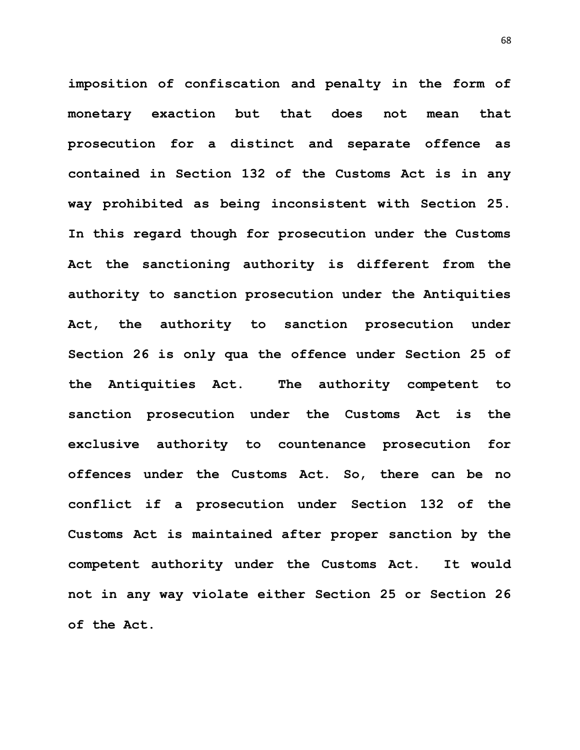**imposition of confiscation and penalty in the form of monetary exaction but that does not mean that prosecution for a distinct and separate offence as contained in Section 132 of the Customs Act is in any way prohibited as being inconsistent with Section 25. In this regard though for prosecution under the Customs Act the sanctioning authority is different from the authority to sanction prosecution under the Antiquities Act, the authority to sanction prosecution under Section 26 is only qua the offence under Section 25 of the Antiquities Act. The authority competent to sanction prosecution under the Customs Act is the exclusive authority to countenance prosecution for offences under the Customs Act. So, there can be no conflict if a prosecution under Section 132 of the Customs Act is maintained after proper sanction by the competent authority under the Customs Act. It would not in any way violate either Section 25 or Section 26 of the Act.**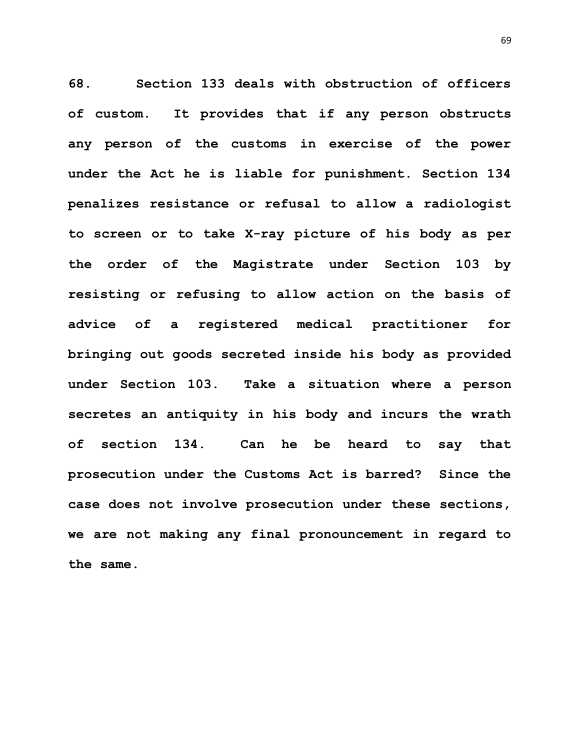**68. Section 133 deals with obstruction of officers of custom. It provides that if any person obstructs any person of the customs in exercise of the power under the Act he is liable for punishment. Section 134 penalizes resistance or refusal to allow a radiologist to screen or to take X-ray picture of his body as per the order of the Magistrate under Section 103 by resisting or refusing to allow action on the basis of advice of a registered medical practitioner for bringing out goods secreted inside his body as provided under Section 103. Take a situation where a person secretes an antiquity in his body and incurs the wrath of section 134. Can he be heard to say that prosecution under the Customs Act is barred? Since the case does not involve prosecution under these sections, we are not making any final pronouncement in regard to the same.**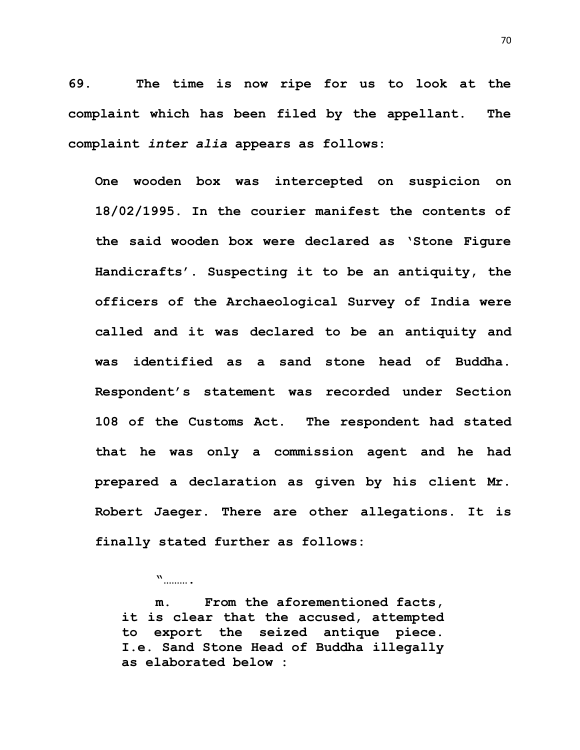**69. The time is now ripe for us to look at the complaint which has been filed by the appellant. The complaint** *inter alia* **appears as follows:**

**One wooden box was intercepted on suspicion on 18/02/1995. In the courier manifest the contents of the said wooden box were declared as 'Stone Figure Handicrafts'. Suspecting it to be an antiquity, the officers of the Archaeological Survey of India were called and it was declared to be an antiquity and was identified as a sand stone head of Buddha. Respondent's statement was recorded under Section 108 of the Customs Act. The respondent had stated that he was only a commission agent and he had prepared a declaration as given by his client Mr. Robert Jaeger. There are other allegations. It is finally stated further as follows:**

**m. From the aforementioned facts, it is clear that the accused, attempted to export the seized antique piece. I.e. Sand Stone Head of Buddha illegally as elaborated below :**

**"……….**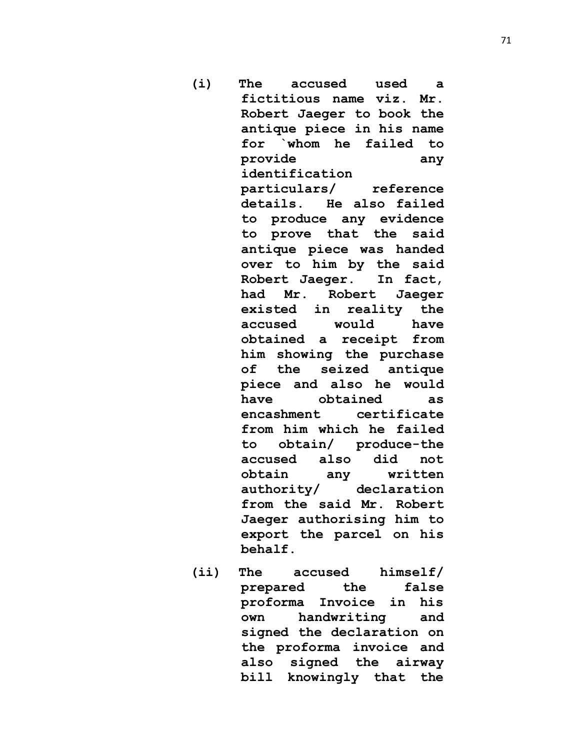- **(i) The accused used a fictitious name viz. Mr. Robert Jaeger to book the antique piece in his name for `whom he failed to provide any identification particulars/ reference details. He also failed to produce any evidence to prove that the said antique piece was handed over to him by the said Robert Jaeger. In fact, had Mr. Robert Jaeger existed in reality the accused would have obtained a receipt from him showing the purchase of the seized antique piece and also he would have obtained as encashment certificate from him which he failed to obtain/ produce-the accused also did not obtain any written authority/ declaration from the said Mr. Robert Jaeger authorising him to export the parcel on his behalf.**
- **(ii) The accused himself/ prepared the false proforma Invoice in his own handwriting and signed the declaration on the proforma invoice and also signed the airway bill knowingly that the**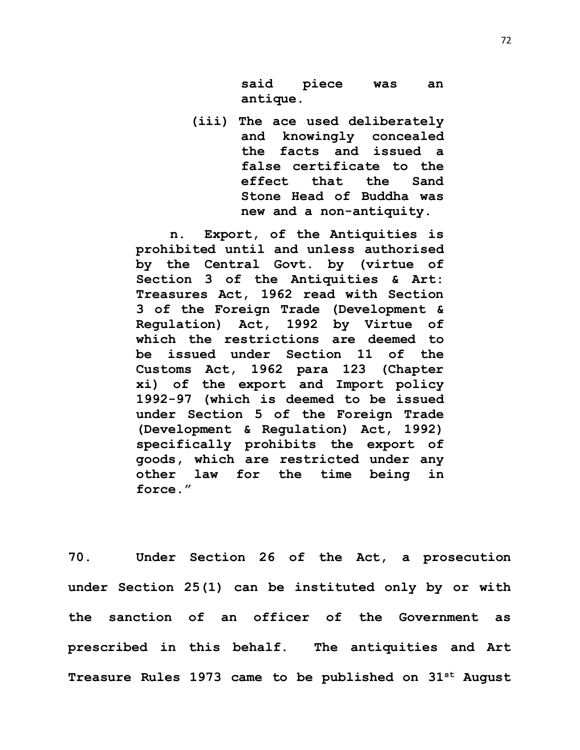**said piece was an antique.**

**(iii) The ace used deliberately and knowingly concealed the facts and issued a false certificate to the effect that the Sand Stone Head of Buddha was new and a non-antiquity.** 

**n. Export, of the Antiquities is prohibited until and unless authorised by the Central Govt. by (virtue of Section 3 of the Antiquities & Art: Treasures Act, 1962 read with Section 3 of the Foreign Trade (Development & Regulation) Act, 1992 by Virtue of which the restrictions are deemed to be issued under Section 11 of the Customs Act, 1962 para 123 (Chapter xi) of the export and Import policy 1992-97 (which is deemed to be issued under Section 5 of the Foreign Trade (Development & Regulation) Act, 1992) specifically prohibits the export of goods, which are restricted under any other law for the time being in force."**

**70. Under Section 26 of the Act, a prosecution under Section 25(1) can be instituted only by or with the sanction of an officer of the Government as prescribed in this behalf. The antiquities and Art Treasure Rules 1973 came to be published on 31st August**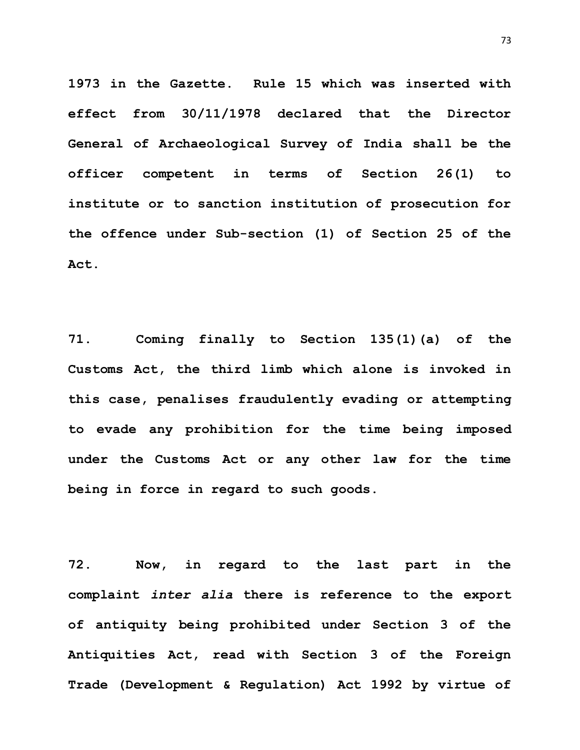**1973 in the Gazette. Rule 15 which was inserted with effect from 30/11/1978 declared that the Director General of Archaeological Survey of India shall be the officer competent in terms of Section 26(1) to institute or to sanction institution of prosecution for the offence under Sub-section (1) of Section 25 of the Act.**

**71. Coming finally to Section 135(1)(a) of the Customs Act, the third limb which alone is invoked in this case, penalises fraudulently evading or attempting to evade any prohibition for the time being imposed under the Customs Act or any other law for the time being in force in regard to such goods.**

**72. Now, in regard to the last part in the complaint** *inter alia* **there is reference to the export of antiquity being prohibited under Section 3 of the Antiquities Act, read with Section 3 of the Foreign Trade (Development & Regulation) Act 1992 by virtue of** 

73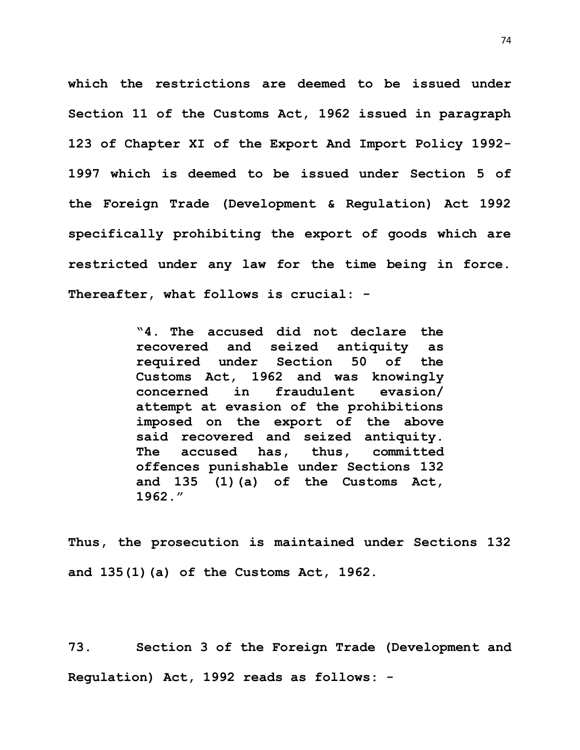**which the restrictions are deemed to be issued under Section 11 of the Customs Act, 1962 issued in paragraph 123 of Chapter XI of the Export And Import Policy 1992- 1997 which is deemed to be issued under Section 5 of the Foreign Trade (Development & Regulation) Act 1992 specifically prohibiting the export of goods which are restricted under any law for the time being in force. Thereafter, what follows is crucial: -**

> **"4. The accused did not declare the recovered and seized antiquity as required under Section 50 of the Customs Act, 1962 and was knowingly concerned in fraudulent evasion/ attempt at evasion of the prohibitions imposed on the export of the above said recovered and seized antiquity. The accused has, thus, committed offences punishable under Sections 132 and 135 (1)(a) of the Customs Act, 1962."**

**Thus, the prosecution is maintained under Sections 132 and 135(1)(a) of the Customs Act, 1962.**

**73. Section 3 of the Foreign Trade (Development and Regulation) Act, 1992 reads as follows: -**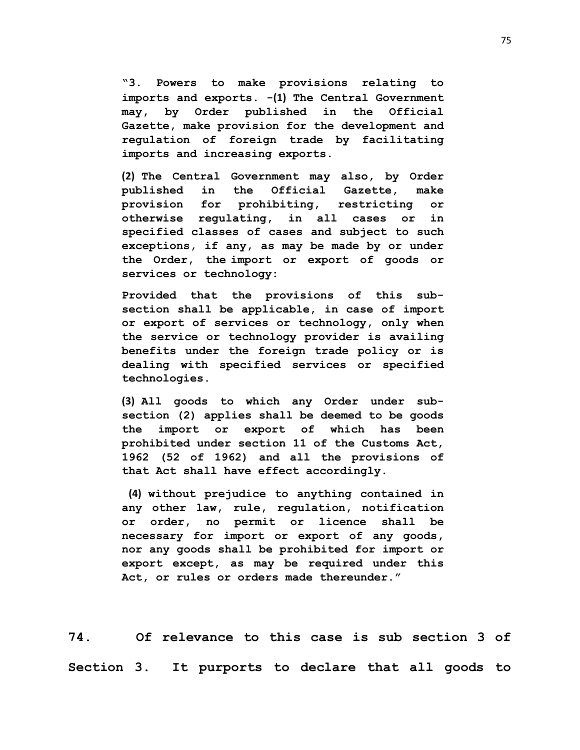**"3. Powers to make provisions relating to imports and exports. -[\(1\)](https://indiankanoon.org/doc/690162/) The Central Government may, by Order published in the Official Gazette, make provision for the development and regulation of foreign trade by facilitating imports and increasing exports.**

**[\(2\)](https://indiankanoon.org/doc/1520486/) The Central Government may also, by Order published in the Official Gazette, make provision for prohibiting, restricting or otherwise regulating, in all cases or in specified classes of cases and subject to such exceptions, if any, as may be made by or under the Order, the import or export of goods or services or technology:**

**Provided that the provisions of this subsection shall be applicable, in case of import or export of services or technology, only when the service or technology provider is availing benefits under the foreign trade policy or is dealing with specified services or specified technologies.**

**[\(3\)](https://indiankanoon.org/doc/1902945/) All goods to which any Order under subsection (2) applies shall be deemed to be goods the import or export of which has been prohibited under section 11 of the Customs Act, 1962 (52 of 1962) and all the provisions of that Act shall have effect accordingly.**

**[\(4\)](https://indiankanoon.org/doc/86481640/) without prejudice to anything contained in any other law, rule, regulation, notification or order, no permit or licence shall be necessary for import or export of any goods, nor any goods shall be prohibited for import or export except, as may be required under this Act, or rules or orders made thereunder."**

**74. Of relevance to this case is sub section 3 of Section 3. It purports to declare that all goods to**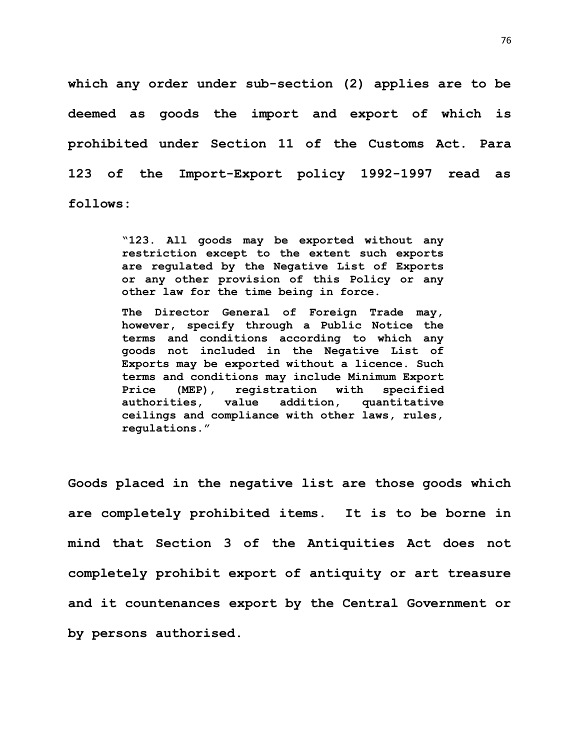**which any order under sub-section (2) applies are to be deemed as goods the import and export of which is prohibited under Section 11 of the Customs Act. Para 123 of the Import-Export policy 1992-1997 read as follows:**

> **"123. All goods may be exported without any restriction except to the extent such exports are regulated by the Negative List of Exports or any other provision of this Policy or any other law for the time being in force.**

> **The Director General of Foreign Trade may, however, specify through a Public Notice the terms and conditions according to which any goods not included in the Negative List of Exports may be exported without a licence. Such terms and conditions may include Minimum Export Price (MEP), registration with specified authorities, value addition, quantitative ceilings and compliance with other laws, rules, regulations."**

**Goods placed in the negative list are those goods which are completely prohibited items. It is to be borne in mind that Section 3 of the Antiquities Act does not completely prohibit export of antiquity or art treasure and it countenances export by the Central Government or by persons authorised.**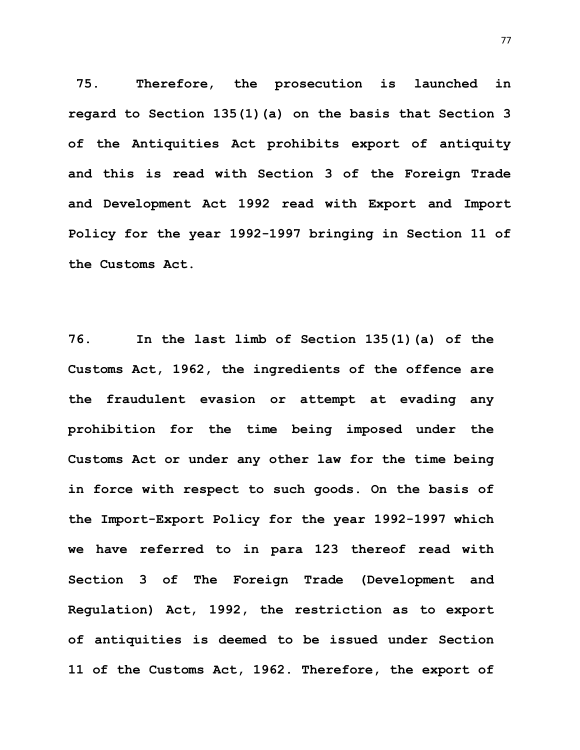**75. Therefore, the prosecution is launched in regard to Section 135(1)(a) on the basis that Section 3 of the Antiquities Act prohibits export of antiquity and this is read with Section 3 of the Foreign Trade and Development Act 1992 read with Export and Import Policy for the year 1992-1997 bringing in Section 11 of the Customs Act.**

**76. In the last limb of Section 135(1)(a) of the Customs Act, 1962, the ingredients of the offence are the fraudulent evasion or attempt at evading any prohibition for the time being imposed under the Customs Act or under any other law for the time being in force with respect to such goods. On the basis of the Import-Export Policy for the year 1992-1997 which we have referred to in para 123 thereof read with Section 3 of The Foreign Trade (Development and Regulation) Act, 1992, the restriction as to export of antiquities is deemed to be issued under Section 11 of the Customs Act, 1962. Therefore, the export of**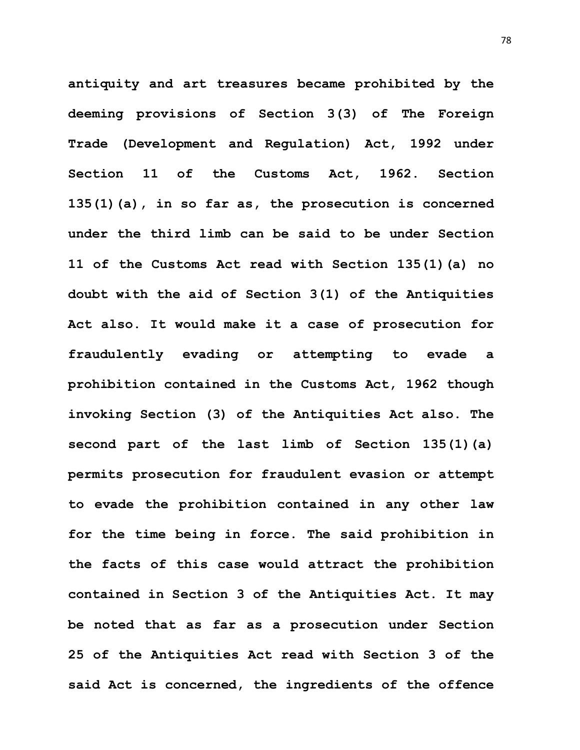**antiquity and art treasures became prohibited by the deeming provisions of Section 3(3) of The Foreign Trade (Development and Regulation) Act, 1992 under Section 11 of the Customs Act, 1962. Section 135(1)(a), in so far as, the prosecution is concerned under the third limb can be said to be under Section 11 of the Customs Act read with Section 135(1)(a) no doubt with the aid of Section 3(1) of the Antiquities Act also. It would make it a case of prosecution for fraudulently evading or attempting to evade a prohibition contained in the Customs Act, 1962 though invoking Section (3) of the Antiquities Act also. The second part of the last limb of Section 135(1)(a) permits prosecution for fraudulent evasion or attempt to evade the prohibition contained in any other law for the time being in force. The said prohibition in the facts of this case would attract the prohibition contained in Section 3 of the Antiquities Act. It may be noted that as far as a prosecution under Section 25 of the Antiquities Act read with Section 3 of the said Act is concerned, the ingredients of the offence**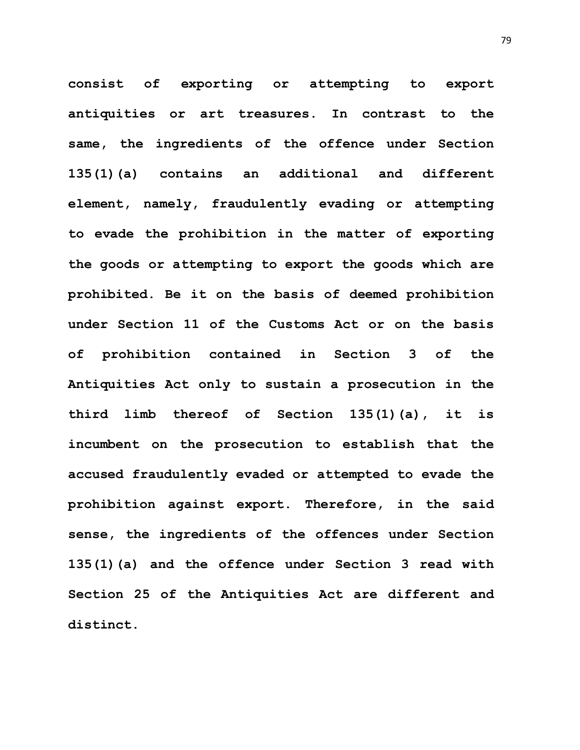**consist of exporting or attempting to export antiquities or art treasures. In contrast to the same, the ingredients of the offence under Section 135(1)(a) contains an additional and different element, namely, fraudulently evading or attempting to evade the prohibition in the matter of exporting the goods or attempting to export the goods which are prohibited. Be it on the basis of deemed prohibition under Section 11 of the Customs Act or on the basis of prohibition contained in Section 3 of the Antiquities Act only to sustain a prosecution in the third limb thereof of Section 135(1)(a), it is incumbent on the prosecution to establish that the accused fraudulently evaded or attempted to evade the prohibition against export. Therefore, in the said sense, the ingredients of the offences under Section 135(1)(a) and the offence under Section 3 read with Section 25 of the Antiquities Act are different and distinct.**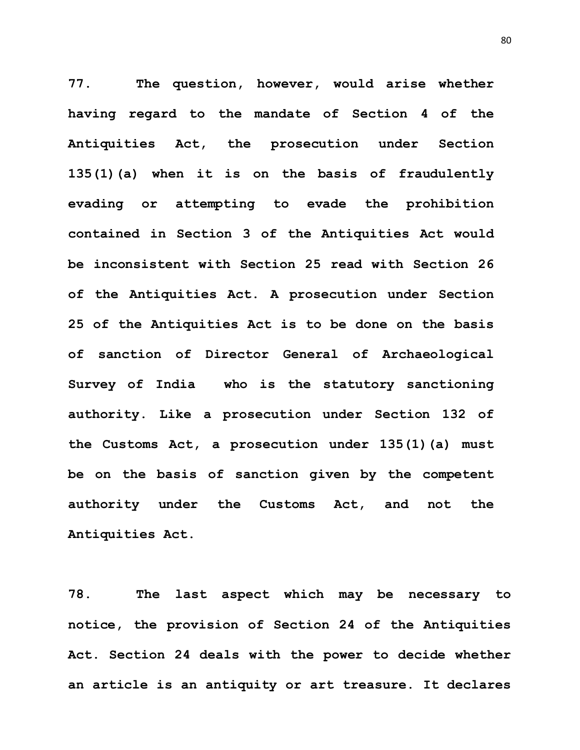**77. The question, however, would arise whether having regard to the mandate of Section 4 of the Antiquities Act, the prosecution under Section 135(1)(a) when it is on the basis of fraudulently evading or attempting to evade the prohibition contained in Section 3 of the Antiquities Act would be inconsistent with Section 25 read with Section 26 of the Antiquities Act. A prosecution under Section 25 of the Antiquities Act is to be done on the basis of sanction of Director General of Archaeological Survey of India who is the statutory sanctioning authority. Like a prosecution under Section 132 of the Customs Act, a prosecution under 135(1)(a) must be on the basis of sanction given by the competent authority under the Customs Act, and not the Antiquities Act.** 

**78. The last aspect which may be necessary to notice, the provision of Section 24 of the Antiquities Act. Section 24 deals with the power to decide whether an article is an antiquity or art treasure. It declares**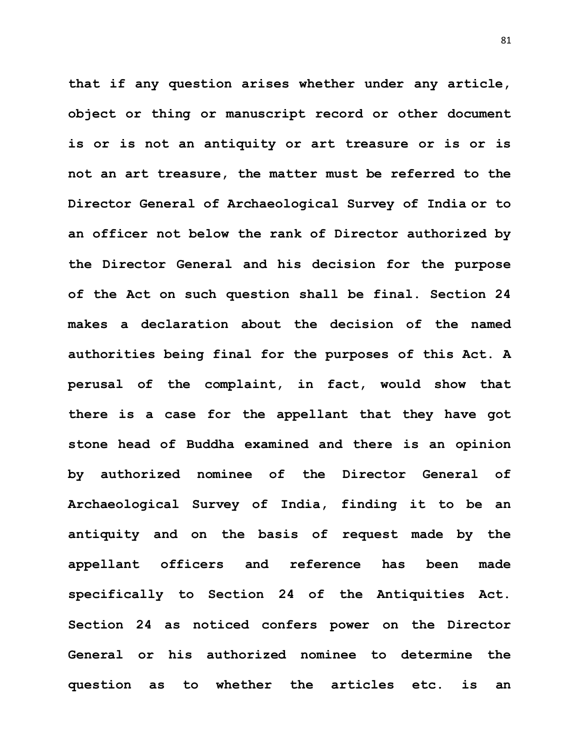**that if any question arises whether under any article, object or thing or manuscript record or other document is or is not an antiquity or art treasure or is or is not an art treasure, the matter must be referred to the Director General of Archaeological Survey of India or to an officer not below the rank of Director authorized by the Director General and his decision for the purpose of the Act on such question shall be final. Section 24 makes a declaration about the decision of the named authorities being final for the purposes of this Act. A perusal of the complaint, in fact, would show that there is a case for the appellant that they have got stone head of Buddha examined and there is an opinion by authorized nominee of the Director General of Archaeological Survey of India, finding it to be an antiquity and on the basis of request made by the appellant officers and reference has been made specifically to Section 24 of the Antiquities Act. Section 24 as noticed confers power on the Director General or his authorized nominee to determine the question as to whether the articles etc. is an**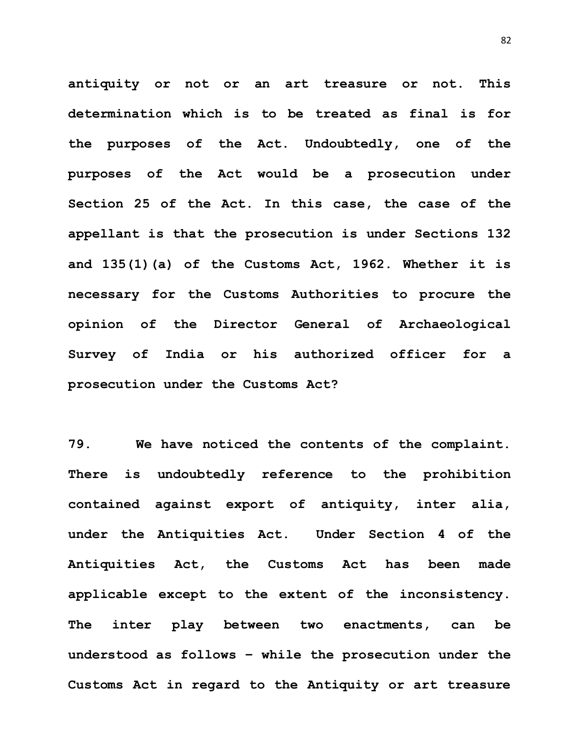**antiquity or not or an art treasure or not. This determination which is to be treated as final is for the purposes of the Act. Undoubtedly, one of the purposes of the Act would be a prosecution under Section 25 of the Act. In this case, the case of the appellant is that the prosecution is under Sections 132 and 135(1)(a) of the Customs Act, 1962. Whether it is necessary for the Customs Authorities to procure the opinion of the Director General of Archaeological Survey of India or his authorized officer for a prosecution under the Customs Act?**

**79. We have noticed the contents of the complaint. There is undoubtedly reference to the prohibition contained against export of antiquity, inter alia, under the Antiquities Act. Under Section 4 of the Antiquities Act, the Customs Act has been made applicable except to the extent of the inconsistency. The inter play between two enactments, can be understood as follows – while the prosecution under the Customs Act in regard to the Antiquity or art treasure**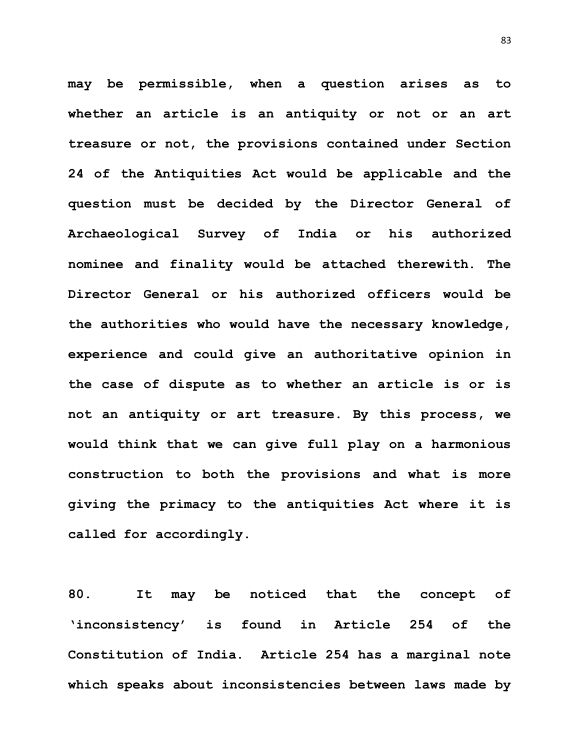**may be permissible, when a question arises as to whether an article is an antiquity or not or an art treasure or not, the provisions contained under Section 24 of the Antiquities Act would be applicable and the question must be decided by the Director General of Archaeological Survey of India or his authorized nominee and finality would be attached therewith. The Director General or his authorized officers would be the authorities who would have the necessary knowledge, experience and could give an authoritative opinion in the case of dispute as to whether an article is or is not an antiquity or art treasure. By this process, we would think that we can give full play on a harmonious construction to both the provisions and what is more giving the primacy to the antiquities Act where it is called for accordingly.** 

**80. It may be noticed that the concept of 'inconsistency' is found in Article 254 of the Constitution of India. Article 254 has a marginal note which speaks about inconsistencies between laws made by**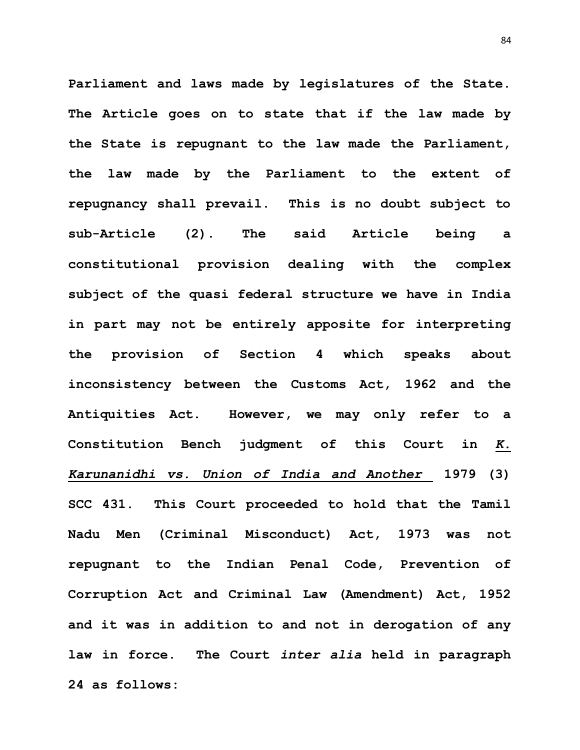**Parliament and laws made by legislatures of the State. The Article goes on to state that if the law made by the State is repugnant to the law made the Parliament, the law made by the Parliament to the extent of repugnancy shall prevail. This is no doubt subject to sub-Article (2). The said Article being a constitutional provision dealing with the complex subject of the quasi federal structure we have in India in part may not be entirely apposite for interpreting the provision of Section 4 which speaks about inconsistency between the Customs Act, 1962 and the Antiquities Act. However, we may only refer to a Constitution Bench judgment of this Court in** *K. Karunanidhi vs. Union of India and Another* **1979 (3) SCC 431. This Court proceeded to hold that the Tamil Nadu Men (Criminal Misconduct) Act, 1973 was not repugnant to the Indian Penal Code, Prevention of Corruption Act and Criminal Law (Amendment) Act, 1952 and it was in addition to and not in derogation of any law in force. The Court** *inter alia* **held in paragraph 24 as follows:**

84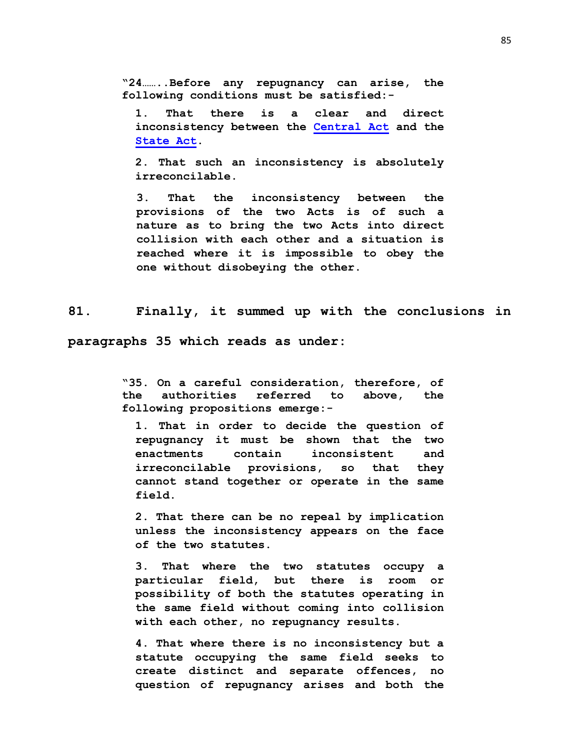**"24……..Before any repugnancy can arise, the following conditions must be satisfied:-**

**1. That there is a clear and direct inconsistency between the [Central Act](https://indiankanoon.org/doc/110162683/) and the [State Act.](https://indiankanoon.org/doc/1443301/)** 

**2. That such an inconsistency is absolutely irreconcilable.** 

**3. That the inconsistency between the provisions of the two Acts is of such a nature as to bring the two Acts into direct collision with each other and a situation is reached where it is impossible to obey the one without disobeying the other.**

**81. Finally, it summed up with the conclusions in** 

**paragraphs 35 which reads as under:**

**"35. On a careful consideration, therefore, of the authorities referred to above, the following propositions emerge:-**

**1. That in order to decide the question of repugnancy it must be shown that the two enactments contain inconsistent and irreconcilable provisions, so that they cannot stand together or operate in the same field.** 

**2. That there can be no repeal by implication unless the inconsistency appears on the face of the two statutes.**

**3. That where the two statutes occupy a particular field, but there is room or possibility of both the statutes operating in the same field without coming into collision with each other, no repugnancy results.** 

**4. That where there is no inconsistency but a statute occupying the same field seeks to create distinct and separate offences, no question of repugnancy arises and both the**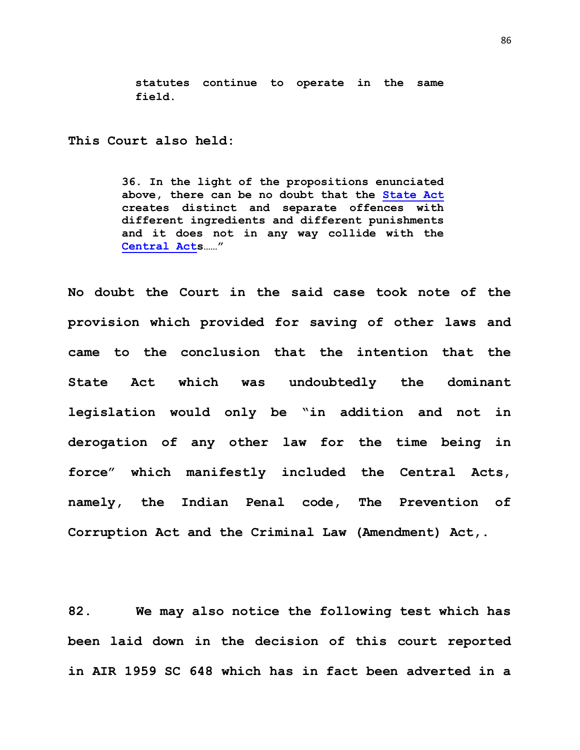**statutes continue to operate in the same field.**

**This Court also held:**

**36. In the light of the propositions enunciated above, there can be no doubt that the [State Act](https://indiankanoon.org/doc/1443301/) creates distinct and separate offences with different ingredients and different punishments and it does not in any way collide with the [Central Acts](https://indiankanoon.org/doc/110162683/)……"**

**No doubt the Court in the said case took note of the provision which provided for saving of other laws and came to the conclusion that the intention that the State Act which was undoubtedly the dominant legislation would only be "in addition and not in derogation of any other law for the time being in force" which manifestly included the Central Acts, namely, the Indian Penal code, The Prevention of Corruption Act and the Criminal Law (Amendment) Act,.**

**82. We may also notice the following test which has been laid down in the decision of this court reported in AIR 1959 SC 648 which has in fact been adverted in a**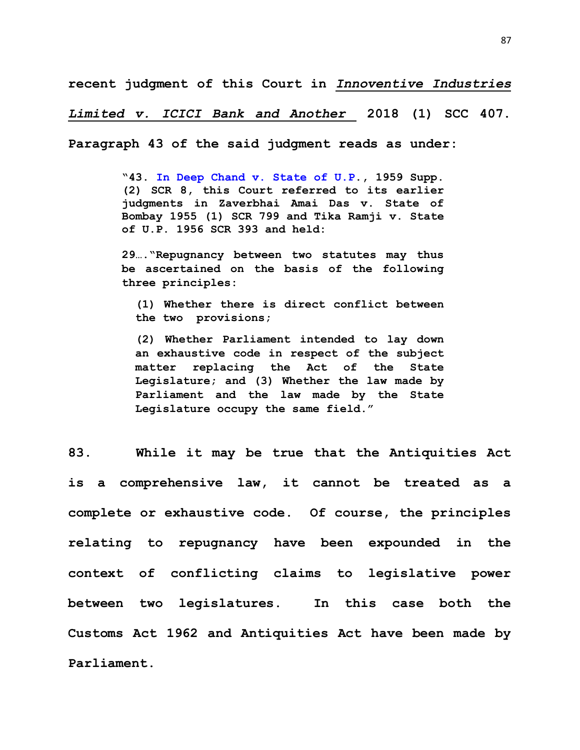**recent judgment of this Court in** *Innoventive Industries* 

*Limited v. ICICI Bank and Another* **2018 (1) SCC 407.** 

**Paragraph 43 of the said judgment reads as under:**

**"43. [In Deep Chand v. State of U.P.](https://indiankanoon.org/doc/1300072/), 1959 Supp. (2) SCR 8, this Court referred to its earlier judgments in Zaverbhai Amai Das v. State of Bombay 1955 (1) SCR 799 and Tika Ramji v. State of U.P. 1956 SCR 393 and held:** 

**29…."Repugnancy between two statutes may thus be ascertained on the basis of the following three principles:**

**(1) Whether there is direct conflict between the two provisions;** 

**(2) Whether Parliament intended to lay down an exhaustive code in respect of the subject matter replacing the Act of the State Legislature; and (3) Whether the law made by Parliament and the law made by the State Legislature occupy the same field."** 

**83. While it may be true that the Antiquities Act is a comprehensive law, it cannot be treated as a complete or exhaustive code. Of course, the principles relating to repugnancy have been expounded in the context of conflicting claims to legislative power between two legislatures. In this case both the Customs Act 1962 and Antiquities Act have been made by Parliament.**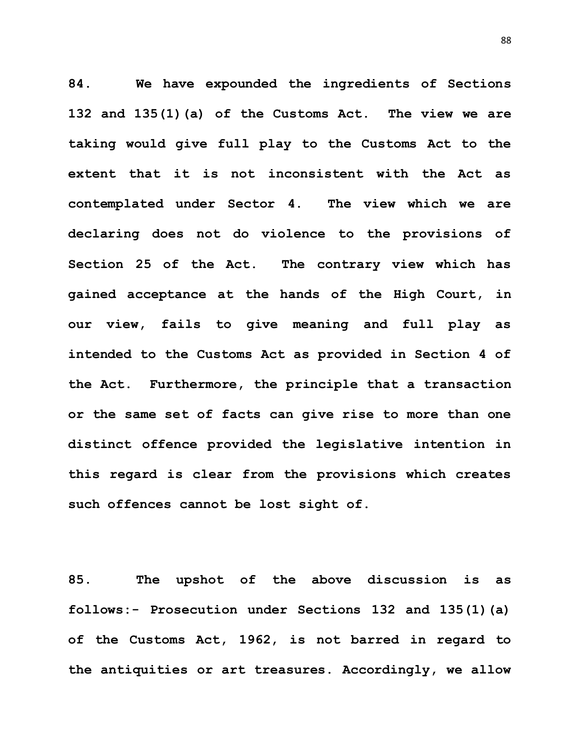**84. We have expounded the ingredients of Sections 132 and 135(1)(a) of the Customs Act. The view we are taking would give full play to the Customs Act to the extent that it is not inconsistent with the Act as contemplated under Sector 4. The view which we are declaring does not do violence to the provisions of Section 25 of the Act. The contrary view which has gained acceptance at the hands of the High Court, in our view, fails to give meaning and full play as intended to the Customs Act as provided in Section 4 of the Act. Furthermore, the principle that a transaction or the same set of facts can give rise to more than one distinct offence provided the legislative intention in this regard is clear from the provisions which creates such offences cannot be lost sight of.** 

**85. The upshot of the above discussion is as follows:- Prosecution under Sections 132 and 135(1)(a) of the Customs Act, 1962, is not barred in regard to the antiquities or art treasures. Accordingly, we allow** 

88